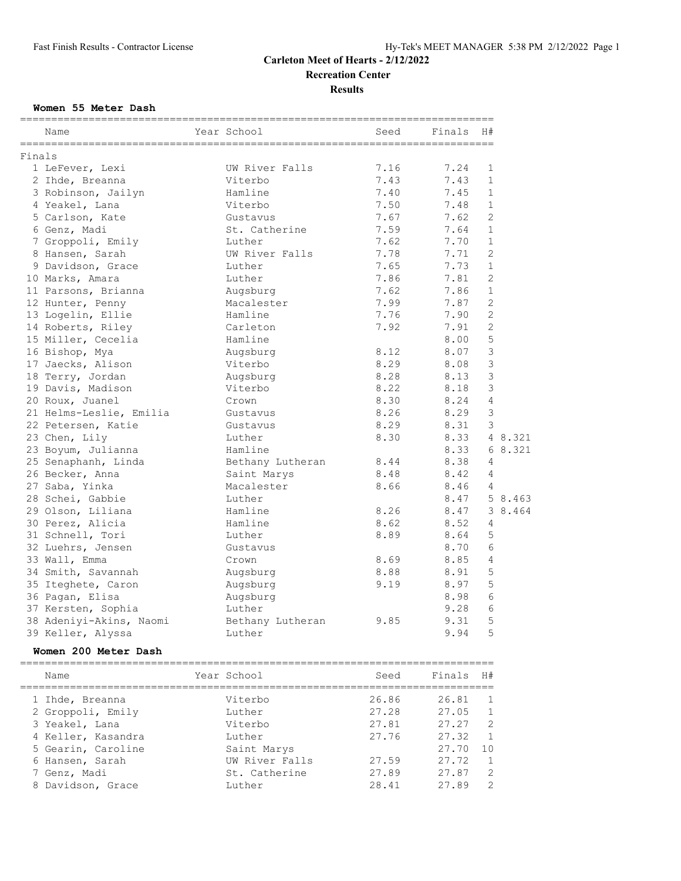**Results**

#### **Women 55 Meter Dash**

|        | Name                    | Year School      | Seed | Finals | H#             |
|--------|-------------------------|------------------|------|--------|----------------|
| Finals |                         |                  |      |        |                |
|        | 1 LeFever, Lexi         | UW River Falls   | 7.16 | 7.24   | 1              |
|        | 2 Ihde, Breanna         | Viterbo          | 7.43 | 7.43   | $\mathbf{1}$   |
|        | 3 Robinson, Jailyn      | Hamline          | 7.40 | 7.45   | $\mathbf{1}$   |
|        | 4 Yeakel, Lana          | Viterbo          | 7.50 | 7.48   | $\mathbf{1}$   |
|        | 5 Carlson, Kate         | Gustavus         | 7.67 | 7.62   | $\overline{2}$ |
|        | 6 Genz, Madi            | St. Catherine    | 7.59 | 7.64   | $\mathbf{1}$   |
|        | 7 Groppoli, Emily       | Luther           | 7.62 | 7.70   | $\mathbf{1}$   |
|        | 8 Hansen, Sarah         | UW River Falls   | 7.78 | 7.71   | 2              |
|        | 9 Davidson, Grace       | Luther           | 7.65 | 7.73   | $\mathbf{1}$   |
|        | 10 Marks, Amara         | Luther           | 7.86 | 7.81   | 2              |
|        | 11 Parsons, Brianna     | Augsburg         | 7.62 | 7.86   | $\mathbf{1}$   |
|        | 12 Hunter, Penny        | Macalester       | 7.99 | 7.87   | 2              |
|        | 13 Logelin, Ellie       | Hamline          | 7.76 | 7.90   | $\overline{2}$ |
|        | 14 Roberts, Riley       | Carleton         | 7.92 | 7.91   | $\overline{2}$ |
|        | 15 Miller, Cecelia      | Hamline          |      | 8.00   | 5              |
|        | 16 Bishop, Mya          | Augsburg         | 8.12 | 8.07   | 3              |
|        | 17 Jaecks, Alison       | Viterbo          | 8.29 | 8.08   | 3              |
|        | 18 Terry, Jordan        | Augsburg         | 8.28 | 8.13   | 3              |
|        | 19 Davis, Madison       | Viterbo          | 8.22 | 8.18   | 3              |
|        | 20 Roux, Juanel         | Crown            | 8.30 | 8.24   | $\overline{4}$ |
|        | 21 Helms-Leslie, Emilia | Gustavus         | 8.26 | 8.29   | 3              |
|        | 22 Petersen, Katie      | Gustavus         | 8.29 | 8.31   | 3              |
|        | 23 Chen, Lily           | Luther           | 8.30 | 8.33   | 4 8.321        |
|        | 23 Boyum, Julianna      | Hamline          |      | 8.33   | 6 8.321        |
|        | 25 Senaphanh, Linda     | Bethany Lutheran | 8.44 | 8.38   | 4              |
|        | 26 Becker, Anna         | Saint Marys      | 8.48 | 8.42   | $\overline{4}$ |
|        | 27 Saba, Yinka          | Macalester       | 8.66 | 8.46   | $\overline{4}$ |
|        | 28 Schei, Gabbie        | Luther           |      | 8.47   | 5 8.463        |
|        | 29 Olson, Liliana       | Hamline          | 8.26 | 8.47   | 3 8.464        |
|        | 30 Perez, Alicia        | Hamline          | 8.62 | 8.52   | 4              |
|        | 31 Schnell, Tori        | Luther           | 8.89 | 8.64   | 5              |
|        | 32 Luehrs, Jensen       | Gustavus         |      | 8.70   | 6              |
|        | 33 Wall, Emma           | Crown            | 8.69 | 8.85   | 4              |
|        | 34 Smith, Savannah      | Augsburg         | 8.88 | 8.91   | 5              |
|        | 35 Iteghete, Caron      | Augsburg         | 9.19 | 8.97   | 5              |
|        | 36 Pagan, Elisa         | Augsburg         |      | 8.98   | 6              |
|        | 37 Kersten, Sophia      | Luther           |      | 9.28   | 6              |
|        | 38 Adeniyi-Akins, Naomi | Bethany Lutheran | 9.85 | 9.31   | 5              |
|        | 39 Keller, Alyssa       | Luther           |      | 9.94   | 5              |
|        | Women 200 Meter Dash    |                  |      |        |                |
|        |                         |                  |      |        |                |

| Name               | Year School    | Seed  | Finals | H#             |
|--------------------|----------------|-------|--------|----------------|
| 1 Ihde, Breanna    | Viterbo        | 26.86 | 26.81  | $\overline{1}$ |
| 2 Groppoli, Emily  | Luther         | 27.28 | 27.05  | -1             |
| 3 Yeakel, Lana     | Viterbo        | 27.81 | 27.27  | $\overline{2}$ |
| 4 Keller, Kasandra | Luther         | 27.76 | 27.32  | $\mathbf{1}$   |
| 5 Gearin, Caroline | Saint Marys    |       | 27.70  | 10             |
| 6 Hansen, Sarah    | UW River Falls | 27.59 | 27.72  | $\overline{1}$ |
| 7 Genz, Madi       | St. Catherine  | 27.89 | 27.87  | 2              |
| 8 Davidson, Grace  | Luther         | 28.41 | 27.89  | $\mathcal{L}$  |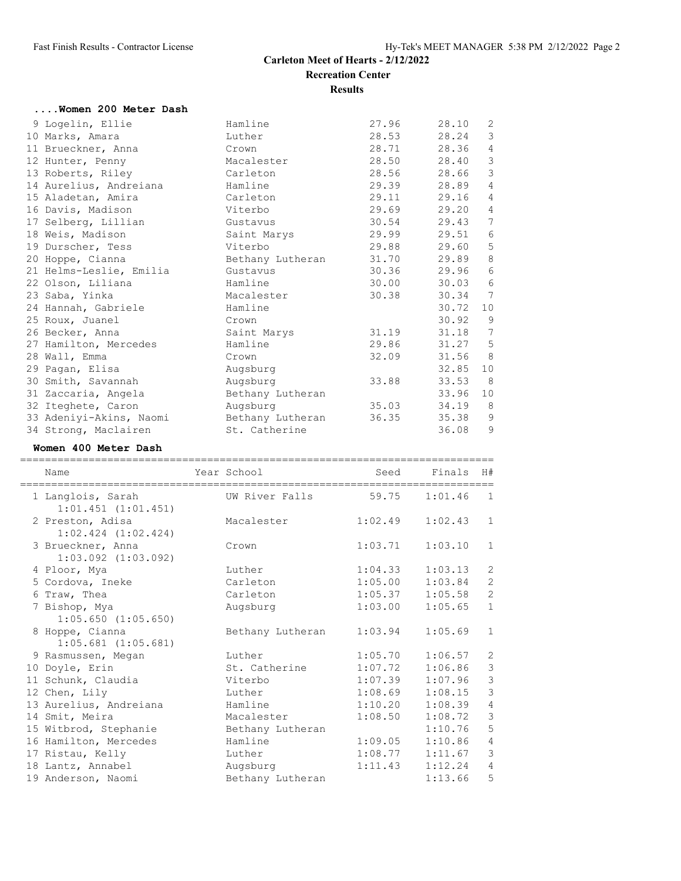| Women 200 Meter Dash    |                  |       |           |                         |
|-------------------------|------------------|-------|-----------|-------------------------|
| 9 Logelin, Ellie        | Hamline          | 27.96 | 28.10     | 2                       |
| 10 Marks, Amara         | Luther           | 28.53 | 28.24     | $\mathcal{E}$           |
| 11 Brueckner, Anna      | Crown            | 28.71 | 28.36     | $\overline{4}$          |
| 12 Hunter, Penny        | Macalester       | 28.50 | 28.40     | $\overline{\mathbf{3}}$ |
| 13 Roberts, Riley       | Carleton         | 28.56 | 28.66     | 3                       |
| 14 Aurelius, Andreiana  | Hamline          | 29.39 | 28.89     | $\overline{4}$          |
| 15 Aladetan, Amira      | Carleton         | 29.11 | 29.16     | $\sqrt{4}$              |
| 16 Davis, Madison       | Viterbo          | 29.69 | 29.20     | $\overline{4}$          |
| 17 Selberg, Lillian     | Gustavus         | 30.54 | 29.43     | $\overline{7}$          |
| 18 Weis, Madison        | Saint Marys      | 29.99 | 29.51     | $6\,$                   |
| 19 Durscher, Tess       | Viterbo          | 29.88 | 29.60     | 5                       |
| 20 Hoppe, Cianna        | Bethany Lutheran | 31.70 | 29.89     | $\,8\,$                 |
| 21 Helms-Leslie, Emilia | Gustavus         | 30.36 | 29.96     | 6                       |
| 22 Olson, Liliana       | Hamline          | 30.00 | 30.03     | 6                       |
| 23 Saba, Yinka          | Macalester       | 30.38 | 30.34     | 7                       |
| 24 Hannah, Gabriele     | Hamline          |       | 30.72     | 10                      |
| 25 Roux, Juanel         | Crown            |       | $30.92$ 9 |                         |
| 26 Becker, Anna         | Saint Marys      | 31.19 | 31.18     | 7                       |
| 27 Hamilton, Mercedes   | Hamline          | 29.86 | 31.27     | 5                       |
| 28 Wall, Emma           | Crown            | 32.09 | 31.56 8   |                         |
| 29 Pagan, Elisa         | Augsburg         |       | 32.85     | 10                      |
| 30 Smith, Savannah      | Augsburg         | 33.88 | 33.53 8   |                         |
| 31 Zaccaria, Angela     | Bethany Lutheran |       | 33.96     | 10                      |
| 32 Iteghete, Caron      | Augsburg         | 35.03 | 34.19     | 8                       |
| 33 Adeniyi-Akins, Naomi | Bethany Lutheran | 36.35 | 35.38     | 9                       |
| 34 Strong, Maclairen    | St. Catherine    |       | 36.08     | $\mathcal{G}$           |

#### **Women 400 Meter Dash**

| Name                                         | Year School      | Seed    | Finals      | H#             |
|----------------------------------------------|------------------|---------|-------------|----------------|
| 1 Langlois, Sarah<br>$1:01.451$ $(1:01.451)$ | UW River Falls   | 59.75   | 1:01.46     | $\overline{1}$ |
| 2 Preston, Adisa<br>$1:02.424$ $(1:02.424)$  | Macalester       | 1:02.49 | $1:02.43$ 1 |                |
| 3 Brueckner, Anna<br>$1:03.092$ $(1:03.092)$ | Crown            | 1:03.71 | 1:03.10     | $\mathbf{1}$   |
| 4 Ploor, Mya                                 | Luther           | 1:04.33 | 1:03.13     | $\mathbf{2}$   |
| 5 Cordova, Ineke                             | Carleton         | 1:05.00 | 1:03.84     | $\mathbf{2}$   |
| 6 Traw, Thea                                 | Carleton         | 1:05.37 | 1:05.58     | $\overline{c}$ |
| 7 Bishop, Mya<br>$1:05.650$ $(1:05.650)$     | Augsburg         | 1:03.00 | 1:05.65     | $\mathbf{1}$   |
| 8 Hoppe, Cianna<br>$1:05.681$ $(1:05.681)$   | Bethany Lutheran | 1:03.94 | 1:05.69     | $\mathbf{1}$   |
| 9 Rasmussen, Megan                           | Luther           | 1:05.70 | 1:06.57     | 2              |
| 10 Doyle, Erin                               | St. Catherine    | 1:07.72 | 1:06.86     | $\mathfrak{Z}$ |
| 11 Schunk, Claudia                           | Viterbo          | 1:07.39 | 1:07.96     | $\mathfrak{Z}$ |
| 12 Chen, Lily                                | Luther           | 1:08.69 | 1:08.15     | $\mathfrak{Z}$ |
| 13 Aurelius, Andreiana                       | Hamline          | 1:10.20 | 1:08.39     | $\sqrt{4}$     |
| 14 Smit, Meira                               | Macalester       | 1:08.50 | 1:08.72     | $\mathfrak{Z}$ |
| 15 Witbrod, Stephanie                        | Bethany Lutheran |         | 1:10.76     | 5              |
| 16 Hamilton, Mercedes                        | Hamline          | 1:09.05 | 1:10.86     | $\overline{4}$ |
| 17 Ristau, Kelly                             | Luther           | 1:08.77 | 1:11.67     | $\mathfrak{Z}$ |
| 18 Lantz, Annabel                            | Augsburg         | 1:11.43 | 1:12.24     | $\overline{4}$ |
| 19 Anderson, Naomi                           | Bethany Lutheran |         | 1:13.66     | 5              |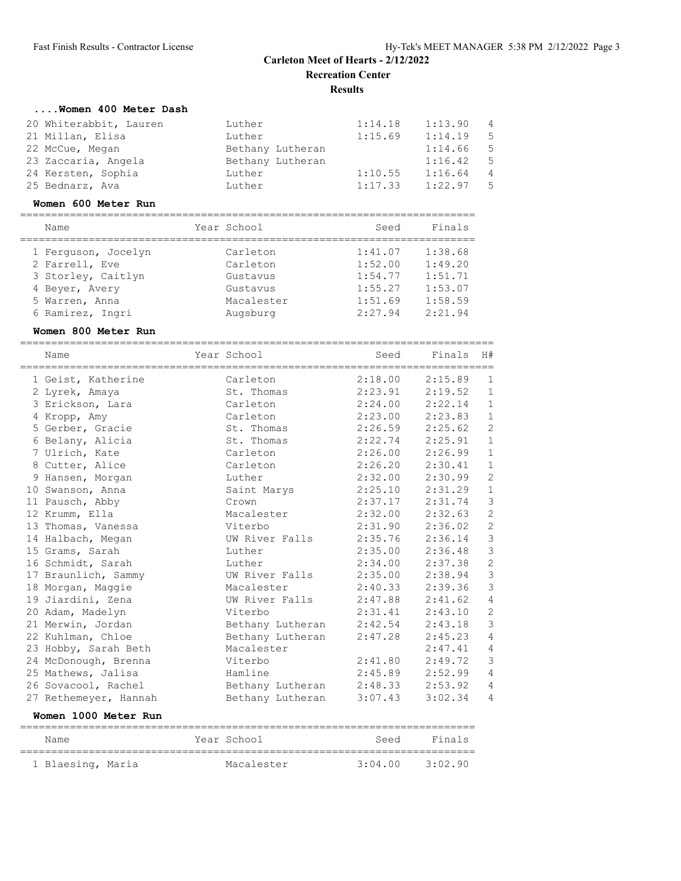# **....Women 400 Meter Dash**

| 20 Whiterabbit, Lauren | Luther           | 1:14.18 | 1:13.90 | $\overline{4}$ |
|------------------------|------------------|---------|---------|----------------|
| 21 Millan, Elisa       | Luther           | 1:15.69 | 1:14.19 | -5             |
| 22 McCue, Megan        | Bethany Lutheran |         | 1:14.66 | - 5            |
| 23 Zaccaria, Angela    | Bethany Lutheran |         | 1:16.42 | -5.            |
| 24 Kersten, Sophia     | Luther           | 1:10.55 | 1:16.64 | 4              |
| 25 Bednarz, Ava        | Luther           | 1:17.33 | 1:22.97 | .5.            |

#### **Women 600 Meter Run**

| Name                | Year School | Seed    | Finals  |
|---------------------|-------------|---------|---------|
| 1 Ferquson, Jocelyn | Carleton    | 1:41.07 | 1:38.68 |
| 2 Farrell, Eve      | Carleton    | 1:52.00 | 1:49.20 |
| 3 Storley, Caitlyn  | Gustavus    | 1:54.77 | 1:51.71 |
| 4 Bever, Avery      | Gustavus    | 1:55.27 | 1:53.07 |
| 5 Warren, Anna      | Macalester  | 1:51.69 | 1:58.59 |
| 6 Ramirez, Ingri    | Augsburg    | 2:27.94 | 2:21.94 |

#### **Women 800 Meter Run**

| Name                  | Year School              | Seed    | Finals  | H#             |
|-----------------------|--------------------------|---------|---------|----------------|
| 1 Geist, Katherine    | Carleton                 | 2:18.00 | 2:15.89 | 1              |
| 2 Lyrek, Amaya        | St. Thomas               | 2:23.91 | 2:19.52 | $\mathbf{1}$   |
| 3 Erickson, Lara      | Carleton                 | 2:24.00 | 2:22.14 | $\mathbf{1}$   |
| 4 Kropp, Amy          | Carleton                 | 2:23.00 | 2:23.83 | $\mathbf{1}$   |
| 5 Gerber, Gracie      | St. Thomas               | 2:26.59 | 2:25.62 | $\overline{c}$ |
| 6 Belany, Alicia      | St. Thomas               | 2:22.74 | 2:25.91 | $\mathbf{1}$   |
| 7 Ulrich, Kate        | Carleton                 | 2:26.00 | 2:26.99 | $\mathbf{1}$   |
| 8 Cutter, Alice       | Carleton                 | 2:26.20 | 2:30.41 | $\mathbf{1}$   |
| 9 Hansen, Morgan      | Luther                   | 2:32.00 | 2:30.99 | $\overline{c}$ |
| 10 Swanson, Anna      | Saint Marys              | 2:25.10 | 2:31.29 | $\mathbf{1}$   |
| 11 Pausch, Abby       | Crown                    | 2:37.17 | 2:31.74 | $\mathsf 3$    |
| 12 Krumm, Ella        | Macalester               | 2:32.00 | 2:32.63 | $\mathbf{2}$   |
| 13 Thomas, Vanessa    | Viterbo                  | 2:31.90 | 2:36.02 | $\overline{c}$ |
| 14 Halbach, Megan     | UW River Falls           | 2:35.76 | 2:36.14 | $\mathfrak{Z}$ |
| 15 Grams, Sarah       | Luther                   | 2:35.00 | 2:36.48 | $\mathfrak{Z}$ |
| 16 Schmidt, Sarah     | Luther                   | 2:34.00 | 2:37.38 | $\sqrt{2}$     |
| 17 Braunlich, Sammy   | UW River Falls           | 2:35.00 | 2:38.94 | $\mathfrak{Z}$ |
| 18 Morgan, Maggie     | Macalester               | 2:40.33 | 2:39.36 | $\mathfrak{Z}$ |
| 19 Jiardini, Zena     | UW River Falls 2:47.88   |         | 2:41.62 | $\sqrt{4}$     |
| 20 Adam, Madelyn      | Viterbo                  | 2:31.41 | 2:43.10 | $\mathbf{2}$   |
| 21 Merwin, Jordan     | Bethany Lutheran         | 2:42.54 | 2:43.18 | $\mathcal{S}$  |
| 22 Kuhlman, Chloe     | Bethany Lutheran         | 2:47.28 | 2:45.23 | $\overline{4}$ |
| 23 Hobby, Sarah Beth  | Macalester               |         | 2:47.41 | 4              |
| 24 McDonough, Brenna  | Viterbo                  | 2:41.80 | 2:49.72 | $\mathcal{S}$  |
| 25 Mathews, Jalisa    | Hamline                  | 2:45.89 | 2:52.99 | $\overline{4}$ |
| 26 Sovacool, Rachel   | Bethany Lutheran 2:48.33 |         | 2:53.92 | $\overline{4}$ |
| 27 Rethemeyer, Hannah | Bethany Lutheran         | 3:07.43 | 3:02.34 | $\overline{4}$ |

#### **Women 1000 Meter Run**

| Name              | Year School | Seed    | Finals  |
|-------------------|-------------|---------|---------|
| 1 Blaesing, Maria | Macalester  | 3:04.00 | 3:02.90 |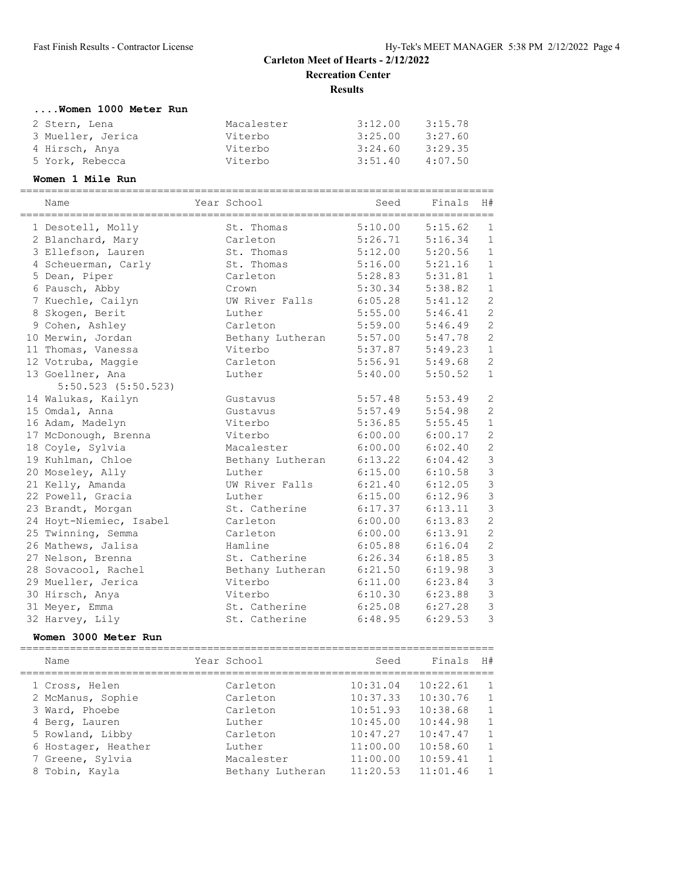# **....Women 1000 Meter Run**

| 2 Stern, Lena     | Macalester | 3:12.00 | 3:15.78 |
|-------------------|------------|---------|---------|
| 3 Mueller, Jerica | Viterbo    | 3:25.00 | 3:27.60 |
| 4 Hirsch, Anya    | Viterbo    | 3:24.60 | 3:29.35 |
| 5 York, Rebecca   | Viterbo    | 3:51.40 | 4:07.50 |

#### **Women 1 Mile Run**

| _____________________________<br>=========== |                  | __________________________________ |         |                |
|----------------------------------------------|------------------|------------------------------------|---------|----------------|
| Name                                         | Year School      | Seed                               | Finals  | H#             |
|                                              | St. Thomas       | 5:10.00                            | 5:15.62 | $\mathbf{1}$   |
| 1 Desotell, Molly                            |                  |                                    |         |                |
| 2 Blanchard, Mary                            | Carleton         | 5:26.71                            | 5:16.34 | $\mathbf{1}$   |
| 3 Ellefson, Lauren                           | St. Thomas       | 5:12.00                            | 5:20.56 | $\mathbf{1}$   |
| 4 Scheuerman, Carly                          | St. Thomas       | 5:16.00                            | 5:21.16 | $1\,$          |
| 5 Dean, Piper                                | Carleton         | 5:28.83                            | 5:31.81 | $\mathbf{1}$   |
| 6 Pausch, Abby                               | Crown            | 5:30.34                            | 5:38.82 | $1\,$          |
| 7 Kuechle, Cailyn                            | UW River Falls   | 6:05.28                            | 5:41.12 | $\overline{c}$ |
| 8 Skogen, Berit                              | Luther           | 5:55.00                            | 5:46.41 | $\overline{c}$ |
| 9 Cohen, Ashley                              | Carleton         | 5:59.00                            | 5:46.49 | $\overline{c}$ |
| 10 Merwin, Jordan                            | Bethany Lutheran | 5:57.00                            | 5:47.78 | $\overline{c}$ |
| 11 Thomas, Vanessa                           | Viterbo          | 5:37.87                            | 5:49.23 | $\,1\,$        |
| 12 Votruba, Maggie                           | Carleton         | 5:56.91                            | 5:49.68 | $\overline{c}$ |
| 13 Goellner, Ana                             | Luther           | 5:40.00                            | 5:50.52 | $\mathbf{1}$   |
| $5:50.523$ $(5:50.523)$                      |                  |                                    |         |                |
| 14 Walukas, Kailyn                           | Gustavus         | 5:57.48                            | 5:53.49 | $\mathbf{2}$   |
| 15 Omdal, Anna                               | Gustavus         | 5:57.49                            | 5:54.98 | $\overline{c}$ |
| 16 Adam, Madelyn                             | Viterbo          | 5:36.85                            | 5:55.45 | $\mathbf 1$    |
| 17 McDonough, Brenna                         | Viterbo          | 6:00.00                            | 6:00.17 | $\overline{c}$ |
| 18 Coyle, Sylvia                             | Macalester       | 6:00.00                            | 6:02.40 | $\overline{c}$ |
| 19 Kuhlman, Chloe                            | Bethany Lutheran | 6:13.22                            | 6:04.42 | 3              |
| 20 Moseley, Ally                             | Luther           | 6:15.00                            | 6:10.58 | 3              |
| 21 Kelly, Amanda                             | UW River Falls   | 6:21.40                            | 6:12.05 | 3              |
| 22 Powell, Gracia                            | Luther           | 6:15.00                            | 6:12.96 | $\mathfrak{Z}$ |
| 23 Brandt, Morgan                            | St. Catherine    | 6:17.37                            | 6:13.11 | $\mathfrak{Z}$ |
| 24 Hoyt-Niemiec, Isabel                      | Carleton         | 6:00.00                            | 6:13.83 | $\overline{c}$ |
| 25 Twinning, Semma                           | Carleton         | 6:00.00                            | 6:13.91 | $\overline{c}$ |
| 26 Mathews, Jalisa                           | Hamline          | 6:05.88                            | 6:16.04 | $\overline{c}$ |
| 27 Nelson, Brenna                            | St. Catherine    | 6:26.34                            | 6:18.85 | $\mathfrak{Z}$ |
| 28 Sovacool, Rachel                          | Bethany Lutheran | 6:21.50                            | 6:19.98 | $\mathfrak{Z}$ |
| 29 Mueller, Jerica                           | Viterbo          | 6:11.00                            | 6:23.84 | $\mathfrak{Z}$ |
| 30 Hirsch, Anya                              | Viterbo          | 6:10.30                            | 6:23.88 | $\mathfrak{Z}$ |
| 31 Meyer, Emma                               | St. Catherine    | 6:25.08                            | 6:27.28 | 3              |
| 32 Harvey, Lily                              | St. Catherine    | 6:48.95                            | 6:29.53 | 3              |
|                                              |                  |                                    |         |                |

#### **Women 3000 Meter Run**

| Name                | Year School      | Seed     | Finals   | H#             |
|---------------------|------------------|----------|----------|----------------|
| 1 Cross, Helen      | Carleton         | 10:31.04 | 10:22.61 | $\overline{1}$ |
| 2 McManus, Sophie   | Carleton         | 10:37.33 | 10:30.76 | $\overline{1}$ |
| 3 Ward, Phoebe      | Carleton         | 10:51.93 | 10:38.68 | $\mathbf{1}$   |
| 4 Berg, Lauren      | Luther           | 10:45.00 | 10:44.98 | $\mathbf{1}$   |
| 5 Rowland, Libby    | Carleton         | 10:47.27 | 10:47.47 | $\mathbf{1}$   |
| 6 Hostager, Heather | Luther           | 11:00.00 | 10:58.60 | 1              |
| 7 Greene, Sylvia    | Macalester       | 11:00.00 | 10:59.41 | $\mathbf{1}$   |
| 8 Tobin, Kayla      | Bethany Lutheran | 11:20.53 | 11:01.46 | $\mathbf{1}$   |
|                     |                  |          |          |                |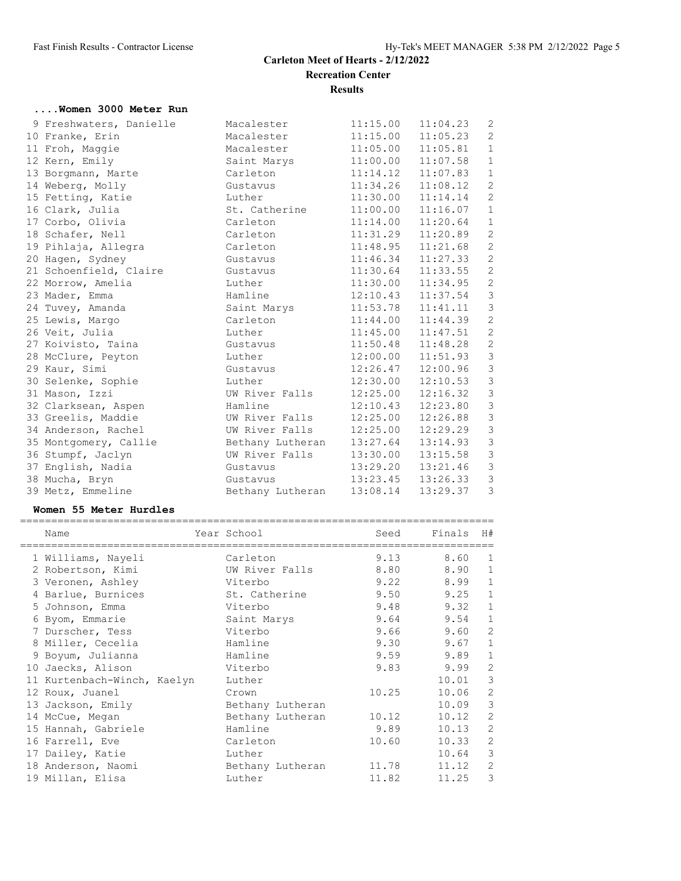## **....Women 3000 Meter Run**

| 9 Freshwaters, Danielle | Macalester       | 11:15.00              | 11:04.23 | 2              |
|-------------------------|------------------|-----------------------|----------|----------------|
| 10 Franke, Erin         | Macalester       | 11:15.00              | 11:05.23 | 2              |
| 11 Froh, Maggie         | Macalester       | $11:05.00$ $11:05.81$ |          | $\mathbf{1}$   |
| 12 Kern, Emily          | Saint Marys      | $11:00.00$ $11:07.58$ |          | $\mathbf{1}$   |
| 13 Borgmann, Marte      | Carleton         | 11:14.12              | 11:07.83 | $\mathbf{1}$   |
| 14 Weberg, Molly        | Gustavus         | 11:34.26              | 11:08.12 | 2              |
| 15 Fetting, Katie       | Luther           | 11:30.00              | 11:14.14 | 2              |
| 16 Clark, Julia         | St. Catherine    | $11:00.00$ $11:16.07$ |          | $\mathbf{1}$   |
| 17 Corbo, Olivia        | Carleton         | 11:14.00              | 11:20.64 | $\mathbf{1}$   |
| 18 Schafer, Nell        | Carleton         | 11:31.29              | 11:20.89 | $\overline{c}$ |
| 19 Pihlaja, Allegra     | Carleton         | 11:48.95              | 11:21.68 | $\mathbf{2}$   |
| 20 Hagen, Sydney        | Gustavus         | $11:46.34$ $11:27.33$ |          | $\overline{2}$ |
| 21 Schoenfield, Claire  | Gustavus         | $11:30.64$ $11:33.55$ |          | 2              |
| 22 Morrow, Amelia       | Luther           | 11:30.00              | 11:34.95 | $\overline{c}$ |
| 23 Mader, Emma          | Hamline          | 12:10.43              | 11:37.54 | $\mathsf 3$    |
| 24 Tuvey, Amanda        | Saint Marys      | $11:53.78$ $11:41.11$ |          | $\mathfrak{Z}$ |
| 25 Lewis, Margo         | Carleton         | $11:44.00$ $11:44.39$ |          | $\sqrt{2}$     |
| 26 Veit, Julia          | Luther           | 11:45.00              | 11:47.51 | $\sqrt{2}$     |
| 27 Koivisto, Taina      | Gustavus         | 11:50.48              | 11:48.28 | $\overline{c}$ |
| 28 McClure, Peyton      | Luther           | 12:00.00              | 11:51.93 | $\mathsf 3$    |
| 29 Kaur, Simi           | Gustavus         | $12:26.47$ $12:00.96$ |          | $\mathsf 3$    |
| 30 Selenke, Sophie      | Luther           | $12:30.00$ $12:10.53$ |          | $\mathfrak{Z}$ |
| 31 Mason, Izzi          | UW River Falls   | 12:25.00              | 12:16.32 | $\mathfrak{Z}$ |
| 32 Clarksean, Aspen     | Hamline          | 12:10.43              | 12:23.80 | $\mathsf 3$    |
| 33 Greelis, Maddie      | UW River Falls   | 12:25.00              | 12:26.88 | 3              |
| 34 Anderson, Rachel     | UW River Falls   | 12:25.00              | 12:29.29 | $\mathfrak{Z}$ |
| 35 Montgomery, Callie   | Bethany Lutheran | 13:27.64              | 13:14.93 | $\mathfrak{Z}$ |
| 36 Stumpf, Jaclyn       | UW River Falls   | 13:30.00              | 13:15.58 | $\mathfrak{Z}$ |
| 37 English, Nadia       | Gustavus         | 13:29.20              | 13:21.46 | $\mathfrak{Z}$ |
| 38 Mucha, Bryn          | Gustavus         | $13:23.45$ $13:26.33$ |          | 3              |
| 39 Metz, Emmeline       | Bethany Lutheran | 13:08.14              | 13:29.37 | $\mathfrak{Z}$ |

#### **Women 55 Meter Hurdles**

| Name                        | Year School      | Seed  | Finals | H#                      |
|-----------------------------|------------------|-------|--------|-------------------------|
| 1 Williams, Nayeli          | Carleton         | 9.13  | 8.60   | 1                       |
| 2 Robertson, Kimi           | UW River Falls   | 8.80  | 8.90   | $\mathbf{1}$            |
| 3 Veronen, Ashley           | Viterbo          | 9.22  | 8.99   | $\mathbf{1}$            |
| 4 Barlue, Burnices          | St. Catherine    | 9.50  | 9.25   | $\mathbf{1}$            |
| 5 Johnson, Emma             | Viterbo          | 9.48  | 9.32   | $\mathbf 1$             |
| 6 Byom, Emmarie             | Saint Marys      | 9.64  | 9.54   | $\mathbf{1}$            |
| 7 Durscher, Tess            | Viterbo          | 9.66  | 9.60   | $\mathbf{2}$            |
| 8 Miller, Cecelia           | Hamline          | 9.30  | 9.67   | $\mathbf{1}$            |
| 9 Boyum, Julianna           | Hamline          | 9.59  | 9.89   | $\mathbf{1}$            |
| 10 Jaecks, Alison           | Viterbo          | 9.83  | 9.99   | 2                       |
| 11 Kurtenbach-Winch, Kaelyn | Luther           |       | 10.01  | $\overline{\mathbf{3}}$ |
| 12 Roux, Juanel             | Crown            | 10.25 | 10.06  | $\mathbf{2}$            |
| 13 Jackson, Emily           | Bethany Lutheran |       | 10.09  | 3                       |
| 14 McCue, Megan             | Bethany Lutheran | 10.12 | 10.12  | 2                       |
| 15 Hannah, Gabriele         | Hamline          | 9.89  | 10.13  | $\mathbf{2}$            |
| 16 Farrell, Eve             | Carleton         | 10.60 | 10.33  | 2                       |
| 17 Dailey, Katie            | Luther           |       | 10.64  | 3                       |
| 18 Anderson, Naomi          | Bethany Lutheran | 11.78 | 11.12  | 2                       |
| 19 Millan, Elisa            | Luther           | 11.82 | 11.25  | 3                       |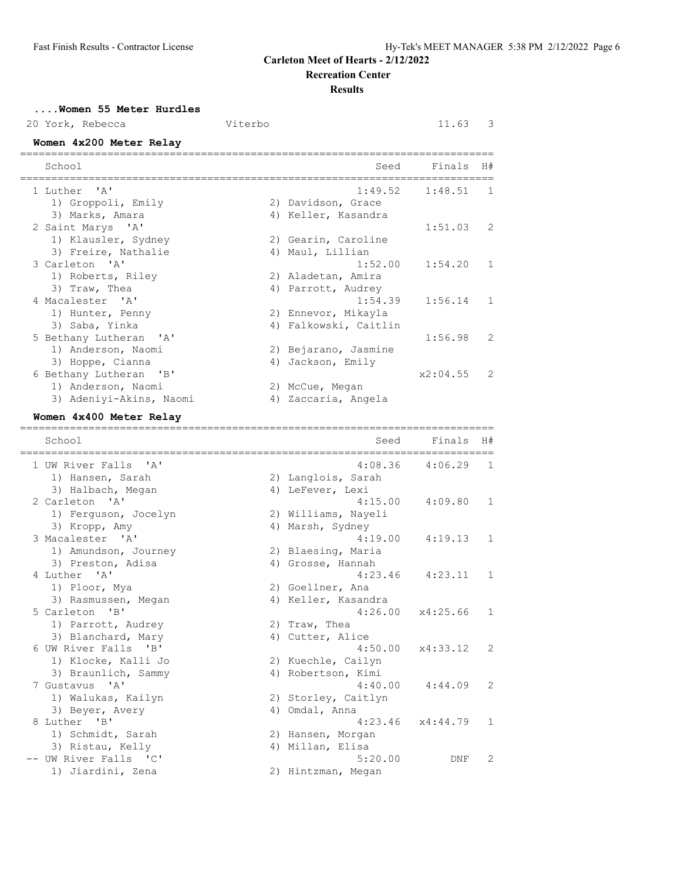**Recreation Center**

**Results**

| Women 55 Meter Hurdles<br>20 York, Rebecca<br>Women 4x200 Meter Relay | Viterbo |                                         | 11.63                            | 3  |
|-----------------------------------------------------------------------|---------|-----------------------------------------|----------------------------------|----|
| School<br>==============                                              |         | Seed                                    | Finals<br>====================== | H# |
| ' A'<br>1 Luther                                                      |         | 1:49.52                                 | 1:48.51                          | 1  |
| 1) Groppoli, Emily                                                    |         | 2) Davidson, Grace                      |                                  |    |
| 3) Marks, Amara                                                       |         | 4) Keller, Kasandra                     |                                  |    |
| 2 Saint Marys 'A'                                                     |         |                                         | 1:51.03                          | 2  |
| 1) Klausler, Sydney<br>3) Freire, Nathalie                            |         | 2) Gearin, Caroline<br>4) Maul, Lillian |                                  |    |
| 3 Carleton 'A'                                                        |         | 1:52.00                                 | 1:54.20                          | 1  |
| 1) Roberts, Riley                                                     |         | 2) Aladetan, Amira                      |                                  |    |
| 3) Traw, Thea                                                         |         | 4) Parrott, Audrey                      |                                  |    |
| 4 Macalester 'A'                                                      |         | 1:54.39                                 | 1:56.14                          | 1  |
| 1) Hunter, Penny                                                      |         | 2) Ennevor, Mikayla                     |                                  |    |
| 3) Saba, Yinka                                                        |         | 4) Falkowski, Caitlin                   |                                  |    |
| 5 Bethany Lutheran<br>$\mathsf{A}$                                    |         |                                         | 1:56.98                          | 2  |
| 1) Anderson, Naomi                                                    |         | 2) Bejarano, Jasmine                    |                                  |    |
| 3) Hoppe, Cianna                                                      |         | 4) Jackson, Emily                       |                                  |    |
| 6 Bethany Lutheran<br>"B"                                             |         |                                         | x2:04.55                         | 2  |
| 1) Anderson, Naomi                                                    |         | 2) McCue, Megan                         |                                  |    |
| 3) Adeniyi-Akins, Naomi                                               |         | 4) Zaccaria, Angela                     |                                  |    |
| Women 4x400 Meter Relay                                               |         |                                         |                                  |    |
| School                                                                |         | ______________________________<br>Seed  | Finals                           | H# |
| 1 UW River Falls<br>' A'                                              |         | 4:08.36                                 | 4:06.29                          | 1  |
| 1) Hansen, Sarah                                                      |         | 2) Langlois, Sarah                      |                                  |    |
| 3) Halbach, Megan                                                     |         | 4) LeFever, Lexi                        |                                  |    |
| 2 Carleton 'A'                                                        |         | 4:15.00                                 | 4:09.80                          | 1  |
| 1) Ferguson, Jocelyn                                                  |         | 2) Williams, Nayeli                     |                                  |    |
| 3) Kropp, Amy                                                         |         | 4) Marsh, Sydney                        |                                  |    |
| 3 Macalester 'A'                                                      |         | 4:19.00                                 | 4:19.13                          | 1  |
| 1) Amundson, Journey                                                  |         | 2) Blaesing, Maria                      |                                  |    |
| 3) Preston, Adisa                                                     |         | 4) Grosse, Hannah                       |                                  |    |
| 4 Luther 'A'                                                          |         | 4:23.46                                 | 4:23.11                          | 1  |

1) Ploor, Mya 2) Goellner, Ana 3) Rasmussen, Megan 4) Keller, Kasandra 5 Carleton 'B' 4:26.00 x4:25.66 1 1) Parrott, Audrey 2) Traw, Thea 3) Blanchard, Mary (4) Cutter, Alice 6 UW River Falls 'B' 4:50.00 x4:33.12 2 1) Klocke, Kalli Jo 2) Kuechle, Cailyn 3) Braunlich, Sammy 4) Robertson, Kimi 7 Gustavus 'A' 4:40.00 4:44.09 2 1) Walukas, Kailyn 2) Storley, Caitlyn 3) Beyer, Avery 1988, 1988, 1989, 1989, 1989, 1989, 1989, 1989, 1989, 1989, 1989, 1989, 1989, 1989, 1988, 198 8 Luther 'B' 4:23.46 x4:44.79 1 1) Schmidt, Sarah 2) Hansen, Morgan 3) Ristau, Kelly (4) Millan, Elisa -- UW River Falls 'C' 5:20.00 DNF 2

1) Jiardini, Zena 2) Hintzman, Megan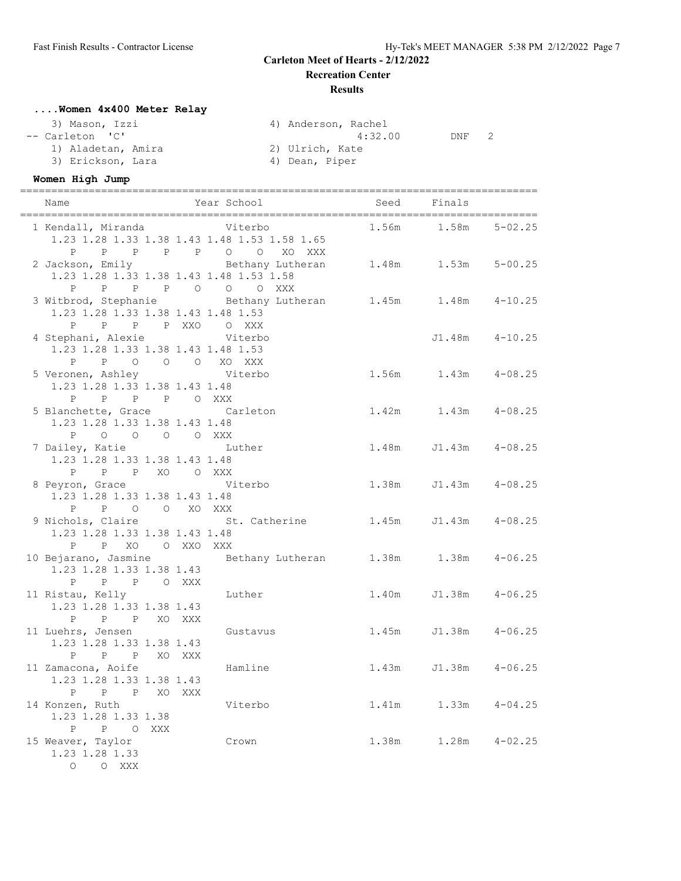**Recreation Center**

#### **Results**

## **....Women 4x400 Meter Relay**

| 3) Mason, Izzi     | 4) Anderson, Rachel             |
|--------------------|---------------------------------|
| -- Carleton 'C'    | $\mathcal{P}$<br>4:32.00<br>DNF |
| 1) Aladetan, Amira | 2) Ulrich, Kate                 |
| 3) Erickson, Lara  | 4) Dean, Piper                  |

## **Women High Jump**

|                                                                                                                         | 1 Kendall, Miranda Miterbo<br>1.23 1.28 1.33 1.38 1.43 1.48 1.53 1.58 1.65<br>P P P P P P O O XO XXX |       | 1.56m   1.58m   5-02.25   |                    |
|-------------------------------------------------------------------------------------------------------------------------|------------------------------------------------------------------------------------------------------|-------|---------------------------|--------------------|
| 1.23 1.28 1.33 1.38 1.43 1.48 1.53 1.58                                                                                 | 2 Jackson, Emily 6-10 Bethany Lutheran 1.48m 1.53m 5-00.25<br>P P P P O O O XXX                      |       |                           |                    |
| 1.23 1.28 1.33 1.38 1.43 1.48 1.53<br>P P P P XXO O XXX                                                                 | 3 Witbrod, Stephanie $B = B$ Bethany Lutheran 1.45m 1.48m 4-10.25                                    |       |                           |                    |
| 4 Stephani, Alexie Miterbo<br>1.23 1.28 1.33 1.38 1.43 1.48 1.53<br>P P O O O XO XXX                                    |                                                                                                      |       |                           | $J1.48m$ $4-10.25$ |
| 5 Veronen, Ashley Contract Viterbo<br>1.23 1.28 1.33 1.38 1.43 1.48<br>P P P P O XXX                                    |                                                                                                      |       | 1.56m   1.43m   4-08.25   |                    |
| 5 Blanchette, Grace Carleton<br>1.23 1.28 1.33 1.38 1.43 1.48<br>P 0 0 0 0 XXX                                          |                                                                                                      |       | $1.42m$ $1.43m$ $4-08.25$ |                    |
| 7 Dailey, Katie Manuel Luther<br>1.23 1.28 1.33 1.38 1.43 1.48<br>P P P XO O XXX                                        |                                                                                                      |       | 1.48m J1.43m 4-08.25      |                    |
| 8 Peyron, Grace Witerbo<br>1.23 1.28 1.33 1.38 1.43 1.48<br>P P O O XO XXX                                              |                                                                                                      |       | 1.38m J1.43m 4-08.25      |                    |
| 1.23 1.28 1.33 1.38 1.43 1.48<br>P P XO O XXO XXX                                                                       | 9 Nichols, Claire 51. Catherine 1.45m J1.43m 4-08.25                                                 |       |                           |                    |
| 1.23 1.28 1.33 1.38 1.43<br>P P P O XXX                                                                                 | 10 Bejarano, Jasmine 6.25 Bethany Lutheran 1.38m 1.38m 4-06.25                                       |       |                           |                    |
| 11 Ristau, Kelly<br>1.23 1.28 1.33 1.38 1.43<br>P P P XO XXX                                                            | Luther                                                                                               |       | 1.40m J1.38m 4-06.25      |                    |
| 11 Luehrs, Jensen<br>1.23 1.28 1.33 1.38 1.43<br>P P P XO XXX                                                           | Gustavus                                                                                             |       | 1.45m J1.38m              | $4 - 06.25$        |
| 11 Zamacona, Aoife<br>1.23 1.28 1.33 1.38 1.43<br>P<br>P<br>Ρ<br>XO                                                     | Hamline<br>XXX                                                                                       |       | 1.43m J1.38m 4-06.25      |                    |
| 14 Konzen, Ruth<br>1.23 1.28 1.33 1.38<br>Ρ<br>P<br>$\circ$<br>XXX                                                      | Viterbo                                                                                              | 1.41m | 1.33m                     | $4 - 04.25$        |
| 15 Weaver, Taylor<br>1.23 1.28 1.33<br>$\begin{matrix} \mathsf{O} \qquad & \mathsf{O} \qquad \mathsf{XXX} \end{matrix}$ | Crown                                                                                                | 1.38m | 1.28m                     | $4 - 02.25$        |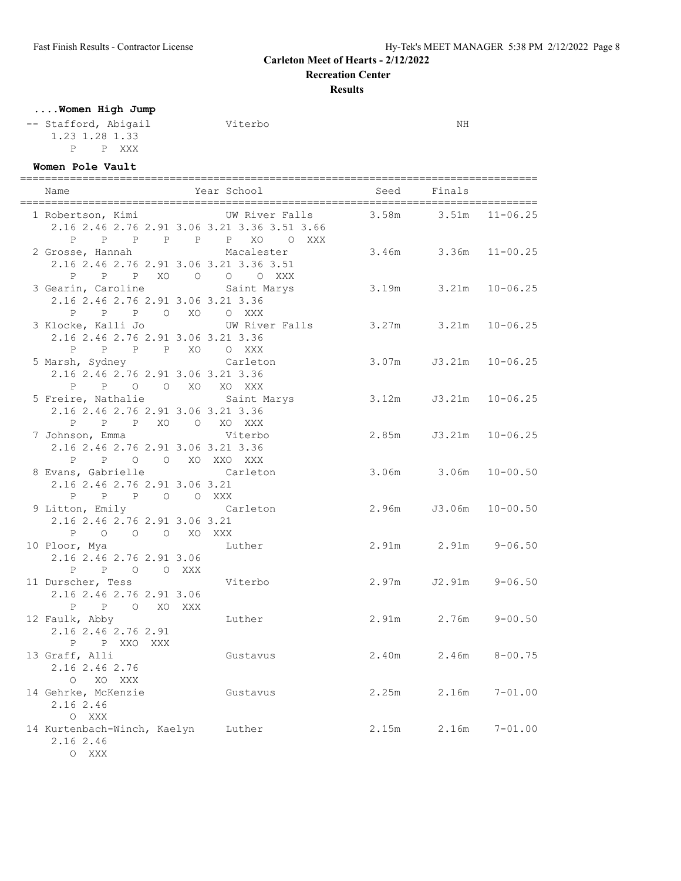**Recreation Center**

**Results**

**....Women High Jump**

-- Stafford, Abigail Viterbo NH 1.23 1.28 1.33 P P XXX

# **Women Pole Vault**

| Name                                                                                       | Year School                                                                          |                            | Seed Finals                 |              |
|--------------------------------------------------------------------------------------------|--------------------------------------------------------------------------------------|----------------------------|-----------------------------|--------------|
| 1 Robertson, Kimi<br>P                                                                     | UW River Falls<br>2.16 2.46 2.76 2.91 3.06 3.21 3.36 3.51 3.66<br>P P P P P XO O XXX |                            | $3.58m$ $3.51m$             | $11 - 06.25$ |
| 2 Grosse, Hannah Macalester<br>2.16 2.46 2.76 2.91 3.06 3.21 3.36 3.51<br>P                | P P XO O O O XXX                                                                     |                            | 3.46m 3.36m 11-00.25        |              |
| 3 Gearin, Caroline 50 Saint Marys<br>2.16 2.46 2.76 2.91 3.06 3.21 3.36<br>P               | P P O XO O XXX                                                                       | $3.19m$ $3.21m$ $10-06.25$ |                             |              |
| 2.16 2.46 2.76 2.91 3.06 3.21 3.36<br>P P P P XO O XXX                                     | 3 Klocke, Kalli Jo             UW River Falls         3.27m     3.21m   10-06.25     |                            |                             |              |
| 5 Marsh, Sydney Carleton<br>2.16 2.46 2.76 2.91 3.06 3.21 3.36<br>P P O O XO XO XXX        |                                                                                      |                            | $3.07m$ $J3.21m$ $10-06.25$ |              |
| 2.16 2.46 2.76 2.91 3.06 3.21 3.36<br>P P P XO O XO XXX                                    | 5 Freire, Nathalie Saint Marys 3.12m J3.21m 10-06.25                                 |                            |                             |              |
| 7 Johnson, Emma Viterbo<br>2.16 2.46 2.76 2.91 3.06 3.21 3.36                              |                                                                                      |                            | 2.85m J3.21m 10-06.25       |              |
| P P O O XO XXO XXX<br>8 Evans, Gabrielle<br>2.16 2.46 2.76 2.91 3.06 3.21<br>P P P O O XXX | Carleton                                                                             |                            | 3.06m 3.06m 10-00.50        |              |
| 9 Litton, Emily Carleton<br>2.16 2.46 2.76 2.91 3.06 3.21<br>P O O O XO XXX                |                                                                                      |                            | 2.96m J3.06m 10-00.50       |              |
| 10 Ploor, Mya<br>2.16 2.46 2.76 2.91 3.06<br>P P O O XXX                                   | Luther                                                                               |                            | 2.91m 2.91m                 | $9 - 06.50$  |
| 11 Durscher, Tess<br>2.16 2.46 2.76 2.91 3.06<br>P P O XO XXX                              | Viterbo                                                                              |                            | 2.97m J2.91m 9-06.50        |              |
| 12 Faulk, Abby<br>$0.1600460376001$<br>2.16 2.46 2.76 2.91<br>P P XXO XXX                  | Luther                                                                               |                            | 2.91m 2.76m 9-00.50         |              |
| 13 Graff, Alli<br>2.16 2.46 2.76<br>O XO XXX                                               | Gustavus                                                                             |                            | 2.40m 2.46m 8-00.75         |              |
| 14 Gehrke, McKenzie Custavus<br>2.16 2.46<br>O XXX                                         |                                                                                      | 2.25m                      | 2.16m                       | $7 - 01.00$  |
| 14 Kurtenbach-Winch, Kaelyn Luther<br>2.16 2.46                                            |                                                                                      |                            | 2.15m 2.16m 7-01.00         |              |

O XXX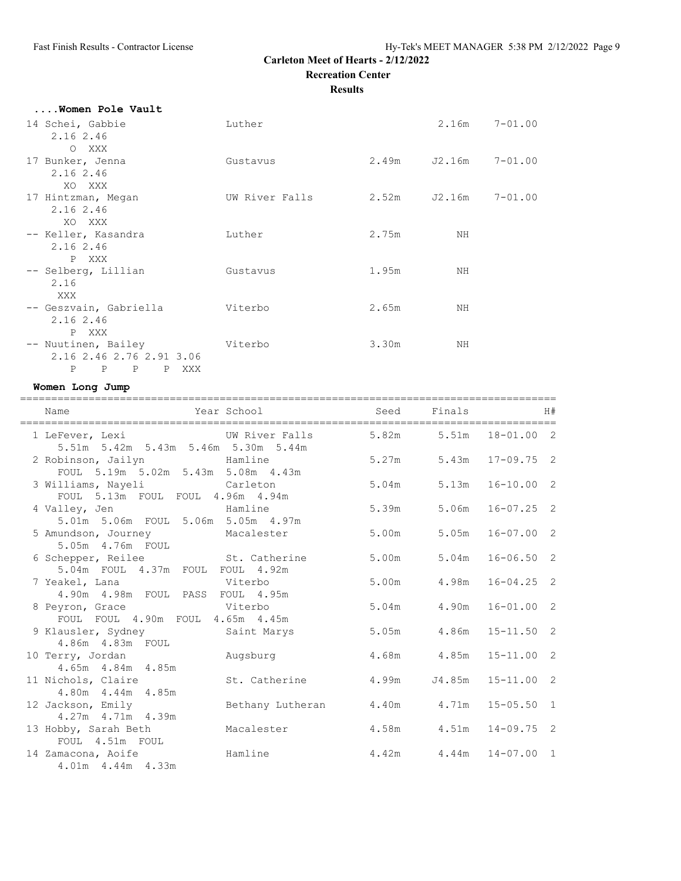**Recreation Center**

**Results**

| Women Pole Vault              |                |       |                   |             |
|-------------------------------|----------------|-------|-------------------|-------------|
| 14 Schei, Gabbie<br>2.16 2.46 | Luther         |       | $2.16m$ $7-01.00$ |             |
| O XXX                         |                |       |                   |             |
| 17 Bunker, Jenna              | Gustavus       |       | 2.49m J2.16m      | $7 - 01.00$ |
| 2.16 2.46<br>XO XXX           |                |       |                   |             |
| 17 Hintzman, Megan            | UW River Falls |       | 2.52m J2.16m      | $7 - 01.00$ |
| 2.16 2.46<br>XO XXX           |                |       |                   |             |
| -- Keller, Kasandra           | Luther         | 2.75m | ΝH                |             |
| 2.16 2.46<br>P XXX            |                |       |                   |             |
| -- Selberg, Lillian           | Gustavus       | 1.95m | ΝH                |             |
| 2.16<br>XXX                   |                |       |                   |             |
| -- Geszvain, Gabriella        | Viterbo        | 2.65m | ΝH                |             |
| 2.16 2.46<br>P XXX            |                |       |                   |             |
| -- Nuutinen, Bailey           | Viterbo        | 3.30m | ΝH                |             |
| 2.16 2.46 2.76 2.91 3.06      |                |       |                   |             |
| P<br>P P XXX<br>$\mathbb{P}$  |                |       |                   |             |

#### **Women Long Jump**

| Name                                                                                                                     | Year School and the Marian School       |       | Seed Finals                   |                      | H# |
|--------------------------------------------------------------------------------------------------------------------------|-----------------------------------------|-------|-------------------------------|----------------------|----|
| 1 LeFever, Lexi             UW River Falls         5.82m     5.51m   18-01.00   2<br>5.51m 5.42m 5.43m 5.46m 5.30m 5.44m |                                         |       |                               |                      |    |
| 2 Robinson, Jailyn Mamline<br>FOUL 5.19m 5.02m 5.43m 5.08m 4.43m                                                         |                                         |       | 5.27m 5.43m 17-09.75 2        |                      |    |
| 3 Williams, Nayeli Carleton<br>FOUL 5.13m FOUL FOUL 4.96m 4.94m                                                          |                                         | 5.04m |                               | $5.13m$ $16-10.00$ 2 |    |
| 4 Valley, Jen Bamline<br>5.01m 5.06m FOUL 5.06m 5.05m 4.97m                                                              |                                         | 5.39m |                               | $5.06m$ $16-07.25$ 2 |    |
| 5 Amundson, Journey Macalester<br>5.05m  4.76m  FOUL                                                                     |                                         | 5.00m | 5.05m                         | $16 - 07.00$ 2       |    |
| 6 Schepper, Reilee St. Catherine<br>5.04m FOUL 4.37m FOUL FOUL 4.92m                                                     |                                         | 5.00m |                               | $5.04m$ $16-06.50$ 2 |    |
| 7 Yeakel, Lana Viterbo<br>4.90m  4.98m  FOUL  PASS  FOUL  4.95m                                                          |                                         | 5.00m | 4.98m                         | $16 - 04.25$ 2       |    |
| 8 Peyron, Grace Witerbo<br>FOUL FOUL 4.90m FOUL 4.65m 4.45m                                                              |                                         | 5.04m | 4.90m                         | $16 - 01.00$ 2       |    |
| 9 Klausler, Sydney Saint Marys<br>4.86m  4.83m  FOUL                                                                     |                                         |       | 5.05m 4.86m 15-11.50 2        |                      |    |
| 10 Terry, Jordan Muqsburg<br>4.65m 4.84m 4.85m                                                                           |                                         |       | 4.68m   4.85m   15-11.00   2  |                      |    |
| 11 Nichols, Claire<br>4.80m  4.44m  4.85m                                                                                | St. Catherine                           |       | $4.99m$ $J4.85m$ $15-11.00$ 2 |                      |    |
| 12 Jackson, Emily<br>4.27m  4.71m  4.39m                                                                                 | Bethany Lutheran 4.40m 4.71m 15-05.50 1 |       |                               |                      |    |
| 13 Hobby, Sarah Beth<br>FOUL 4.51m FOUL                                                                                  | Macalester 4.58m 4.51m 14-09.75 2       |       |                               |                      |    |
| 14 Zamacona, Aoife<br>4.01m  4.44m  4.33m                                                                                | Hamline                                 |       | $4.42m$ $4.44m$ $14-07.00$ 1  |                      |    |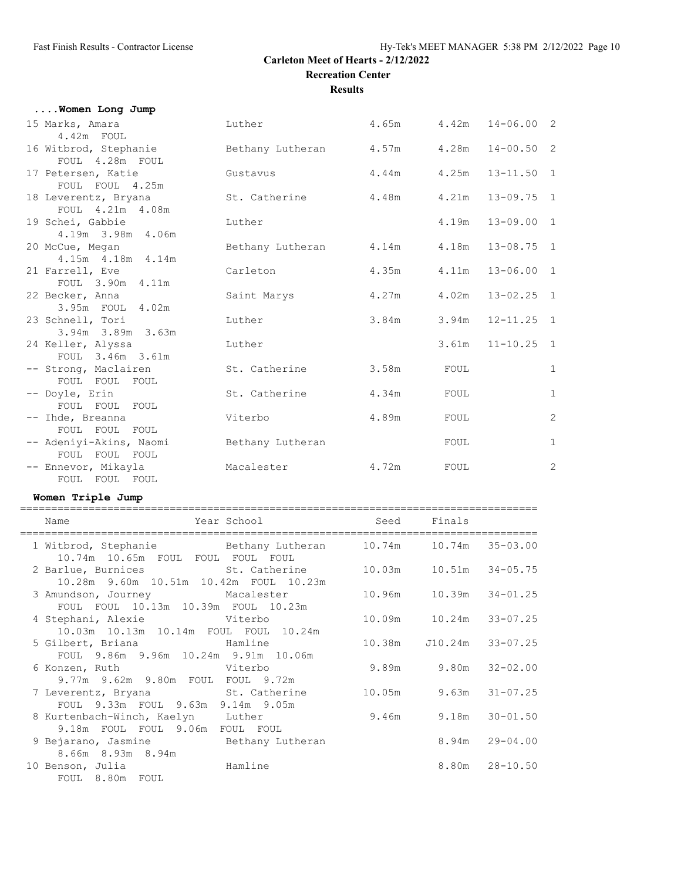**Results**

| Women Long Jump                           |                  |             |       |                              |                |
|-------------------------------------------|------------------|-------------|-------|------------------------------|----------------|
| 15 Marks, Amara<br>4.42m FOUL             | Luther           |             |       | $4.65m$ $4.42m$ $14-06.00$ 2 |                |
| 16 Witbrod, Stephanie<br>FOUL 4.28m FOUL  | Bethany Lutheran | 4.57m 4.28m |       | $14 - 00.50$ 2               |                |
| 17 Petersen, Katie<br>FOUL FOUL 4.25m     | Gustavus         | 4.44m       |       | 4.25m  13-11.50  1           |                |
| 18 Leverentz, Bryana<br>FOUL 4.21m 4.08m  | St. Catherine    | 4.48m       | 4.21m | $13 - 09.75$ 1               |                |
| 19 Schei, Gabbie<br>4.19m 3.98m 4.06m     | Luther           |             | 4.19m | $13 - 09.00 1$               |                |
| 20 McCue, Megan<br>4.15m  4.18m  4.14m    | Bethany Lutheran | 4.14m       | 4.18m | $13 - 08.75$ 1               |                |
| 21 Farrell, Eve<br>FOUL 3.90m 4.11m       | Carleton         | 4.35m       |       | $4.11m$ $13-06.00$ 1         |                |
| 22 Becker, Anna<br>3.95m FOUL 4.02m       | Saint Marys      | 4.27m       | 4.02m | $13 - 02.25$ 1               |                |
| 23 Schnell, Tori<br>3.94m 3.89m 3.63m     | Luther           | 3.84m       |       | $3.94m$ $12-11.25$ 1         |                |
| 24 Keller, Alyssa<br>FOUL 3.46m 3.61m     | Luther           |             |       | $3.61m$ $11-10.25$ 1         |                |
| -- Strong, Maclairen<br>FOUL FOUL FOUL    | St. Catherine    | 3.58m       | FOUL  |                              | 1              |
| -- Doyle, Erin<br>FOUL FOUL FOUL          | St. Catherine    | 4.34m       | FOUL  |                              | $\mathbf{1}$   |
| -- Ihde, Breanna<br>FOUL FOUL FOUL        | Viterbo          | 4.89m       | FOUL  |                              | 2              |
| -- Adeniyi-Akins, Naomi<br>FOUL FOUL FOUL | Bethany Lutheran |             | FOUL  |                              | $\mathbf{1}$   |
| -- Ennevor, Mikayla<br>FOUL FOUL FOUL     | Macalester       | 4.72m       | FOUL  |                              | $\overline{c}$ |

#### **Women Triple Jump**

| Example of the Year School<br>Name                                                                              | Seed Finals |       |                            |                    |
|-----------------------------------------------------------------------------------------------------------------|-------------|-------|----------------------------|--------------------|
| 1 Witbrod, Stephanie $B = B$ Bethany Lutheran $10.74$ m $10.74$ m 35-03.00<br>10.74m 10.65m FOUL FOUL FOUL FOUL |             |       |                            |                    |
| 2 Barlue, Burnices 5t. Catherine 10.03m 10.51m 34-05.75<br>10.28m 9.60m 10.51m 10.42m FOUL 10.23m               |             |       |                            |                    |
| 3 Amundson, Journey Macalester<br>FOUL FOUL 10.13m 10.39m FOUL 10.23m                                           |             |       |                            |                    |
| 4 Stephani, Alexie in a Viterbo<br>10.03m 10.13m 10.14m FOUL FOUL 10.24m                                        |             |       | 10.09m   10.24m   33-07.25 |                    |
| FOUL 9.86m 9.96m 10.24m 9.91m 10.06m                                                                            |             |       | 10.38m J10.24m 33-07.25    |                    |
| 6 Konzen, Ruth Viterbo<br>9.77m 9.62m 9.80m FOUL FOUL 9.72m                                                     |             | 9.89m |                            | $9.80m$ $32-02.00$ |
| 7 Leverentz, Bryana St. Catherine<br>FOUL 9.33m FOUL 9.63m 9.14m 9.05m                                          |             |       | 10.05m 9.63m 31-07.25      |                    |
| 8 Kurtenbach-Winch, Kaelyn Luther 9.46m<br>9.18m FOUL FOUL 9.06m FOUL FOUL                                      |             |       |                            | $9.18m$ $30-01.50$ |
| 9 Bejarano, Jasmine Bethany Lutheran<br>8.66m 8.93m 8.94m                                                       |             |       |                            | $8.94m$ $29-04.00$ |
| 10 Benson, Julia Mamline<br>FOUL 8.80m FOUL                                                                     |             |       |                            | $8.80m$ $28-10.50$ |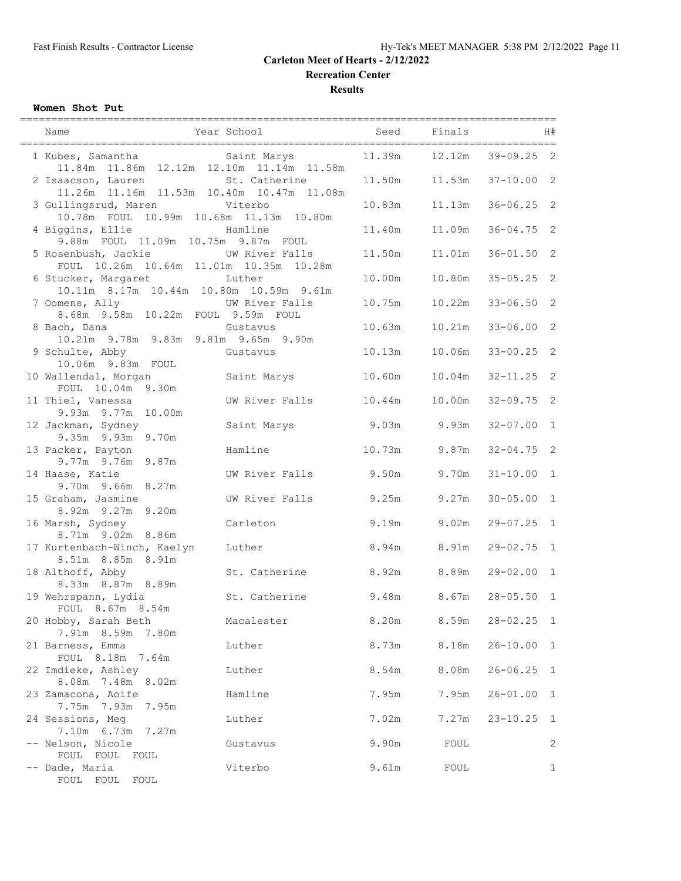**Recreation Center**

**Results**

#### **Women Shot Put**

| Name                                                                                 | ------------------------<br>Year School | Seed   | ------------------------------<br>Finals |                | H#             |
|--------------------------------------------------------------------------------------|-----------------------------------------|--------|------------------------------------------|----------------|----------------|
| 1 Kubes, Samantha Marys<br>11.84m  11.86m  12.12m  12.10m  11.14m  11.58m            |                                         | 11.39m | 12.12m                                   | $39 - 09.25$ 2 |                |
| 2 Isaacson, Lauren<br>11.26m  11.16m  11.53m  10.40m  10.47m  11.08m                 | St. Catherine                           | 11.50m | 11.53m                                   | $37 - 10.00$ 2 |                |
| 3 Gullingsrud, Maren<br>10.78m FOUL 10.99m 10.68m 11.13m 10.80m                      | Viterbo                                 | 10.83m | 11.13m                                   | $36 - 06.25$ 2 |                |
| 4 Biggins, Ellie<br>9.88m FOUL 11.09m 10.75m 9.87m FOUL                              | Hamline                                 | 11.40m | 11.09m                                   | $36 - 04.75$ 2 |                |
| 5 Rosenbush, Jackie Manuel UW River Falls<br>FOUL 10.26m 10.64m 11.01m 10.35m 10.28m |                                         | 11.50m | 11.01m                                   | $36 - 01.50$ 2 |                |
| 6 Stucker, Margaret<br>10.11m 8.17m 10.44m 10.80m 10.59m 9.61m                       | Luther                                  | 10.00m | 10.80m                                   | $35 - 05.25$ 2 |                |
| 7 Oomens, Ally<br>8.68m 9.58m 10.22m FOUL 9.59m FOUL                                 | UW River Falls                          | 10.75m | 10.22m                                   | $33 - 06.50$ 2 |                |
| 8 Bach, Dana<br>10.21m 9.78m 9.83m 9.81m 9.65m 9.90m                                 | Gustavus                                | 10.63m | 10.21m                                   | $33 - 06.00$   | 2              |
| 9 Schulte, Abby<br>10.06m 9.83m FOUL                                                 | Gustavus                                | 10.13m | 10.06m                                   | $33 - 00.25$ 2 |                |
| 10 Wallendal, Morgan<br>FOUL 10.04m 9.30m                                            | Saint Marys                             | 10.60m | 10.04m                                   | $32 - 11.25$ 2 |                |
| 11 Thiel, Vanessa<br>9.93m 9.77m 10.00m                                              | UW River Falls                          | 10.44m | 10.00m                                   | $32 - 09.75$ 2 |                |
| 12 Jackman, Sydney<br>9.35m 9.93m 9.70m                                              | Saint Marys                             | 9.03m  | 9.93m                                    | $32 - 07.00$   | $\overline{1}$ |
| 13 Packer, Payton<br>9.77m 9.76m 9.87m                                               | Hamline                                 | 10.73m | 9.87m                                    | $32 - 04.75$ 2 |                |
| 14 Haase, Katie<br>9.70m 9.66m 8.27m                                                 | UW River Falls                          | 9.50m  | 9.70m                                    | $31 - 10.00$   | $\overline{1}$ |
| 15 Graham, Jasmine<br>8.92m 9.27m 9.20m                                              | UW River Falls                          | 9.25m  | 9.27m                                    | $30 - 05.00$ 1 |                |
| 16 Marsh, Sydney<br>8.71m 9.02m 8.86m                                                | Carleton                                | 9.19m  | 9.02m                                    | $29 - 07.25$ 1 |                |
| 17 Kurtenbach-Winch, Kaelyn<br>8.51m 8.85m 8.91m                                     | Luther                                  | 8.94m  | 8.91m                                    | $29 - 02.75$ 1 |                |
| 18 Althoff, Abby<br>8.33m 8.87m 8.89m                                                | St. Catherine                           | 8.92m  | 8.89m                                    | $29 - 02.00$ 1 |                |
| 19 Wehrspann, Lydia<br>FOUL 8.67m 8.54m                                              | St. Catherine                           | 9.48m  | 8.67m                                    | $28 - 05.50$   | $\overline{1}$ |
| 20 Hobby, Sarah Beth<br>7.91m 8.59m 7.80m                                            | Macalester                              | 8.20m  | 8.59m                                    | $28 - 02.25$ 1 |                |
| 21 Barness, Emma<br>FOUL 8.18m 7.64m                                                 | Luther                                  | 8.73m  | 8.18m                                    | $26 - 10.00$   | $\mathbf{1}$   |
| 22 Imdieke, Ashley<br>8.08m 7.48m 8.02m                                              | Luther                                  | 8.54m  | 8.08m                                    | $26 - 06.25$   | $\mathbf{1}$   |
| 23 Zamacona, Aoife<br>7.75m 7.93m<br>7.95m                                           | Hamline                                 | 7.95m  | 7.95m                                    | $26 - 01.00$   | 1              |
| 24 Sessions, Meg<br>7.10m 6.73m<br>7.27m                                             | Luther                                  | 7.02m  | 7.27m                                    | $23 - 10.25$   | $\mathbf{1}$   |
| -- Nelson, Nicole<br>FOUL FOUL FOUL                                                  | Gustavus                                | 9.90m  | FOUL                                     |                | 2              |
| -- Dade, Maria<br>FOUL FOUL<br>FOUL                                                  | Viterbo                                 | 9.61m  | FOUL                                     |                | 1              |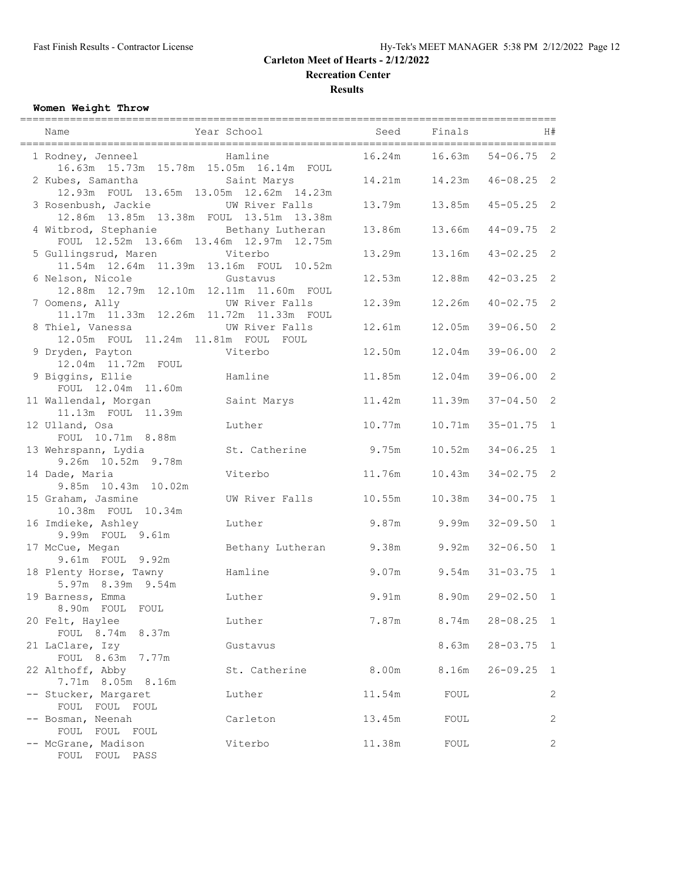**Recreation Center**

**Results**

## **Women Weight Throw**

| Name                                                                                                    | Year School      | Seed   | Finals                         |                | H#           |
|---------------------------------------------------------------------------------------------------------|------------------|--------|--------------------------------|----------------|--------------|
| 1 Rodney, Jenneel<br>Hamline                                                                            |                  | 16.24m | 16.63m                         | $54 - 06.75$ 2 |              |
| 16.63m 15.73m 15.78m 15.05m 16.14m FOUL<br>2 Kubes, Samantha<br>12.93m FOUL 13.65m 13.05m 12.62m 14.23m | Saint Marys      |        | 14.21m   14.23m   46-08.25   2 |                |              |
| 3 Rosenbush, Jackie<br>12.86m  13.85m  13.38m  FOUL  13.51m  13.38m                                     | UW River Falls   |        | 13.79m   13.85m   45-05.25   2 |                |              |
| 4 Witbrod, Stephanie<br>FOUL 12.52m 13.66m 13.46m 12.97m 12.75m                                         | Bethany Lutheran | 13.86m | 13.66m                         | $44 - 09.75$ 2 |              |
| 5 Gullingsrud, Maren Viterbo<br>11.54m  12.64m  11.39m  13.16m  FOUL  10.52m                            |                  | 13.29m | 13.16m                         | $43 - 02.25$ 2 |              |
| 6 Nelson, Nicole<br>12.88m  12.79m  12.10m  12.11m  11.60m  FOUL                                        | Gustavus         | 12.53m | 12.88m                         | $42 - 03.25$ 2 |              |
| 7 Oomens, Ally UW River Falls<br>11.17m 11.33m 12.26m 11.72m 11.33m FOUL                                |                  | 12.39m | 12.26m                         | $40 - 02.75$ 2 |              |
| 8 Thiel, Vanessa<br>12.05m FOUL 11.24m 11.81m FOUL FOUL                                                 | UW River Falls   | 12.61m | 12.05m                         | $39 - 06.50$ 2 |              |
| 9 Dryden, Payton<br>12.04m  11.72m  FOUL                                                                | Viterbo          | 12.50m | 12.04m                         | $39 - 06.00$ 2 |              |
| 9 Biggins, Ellie<br>FOUL 12.04m 11.60m                                                                  | Hamline          | 11.85m | 12.04m                         | $39 - 06.00$ 2 |              |
| 11 Wallendal, Morgan<br>11.13m FOUL 11.39m                                                              | Saint Marys      | 11.42m | 11.39m                         | $37 - 04.50$ 2 |              |
| 12 Ulland, Osa<br>FOUL 10.71m 8.88m                                                                     | Luther           | 10.77m | 10.71m                         | $35 - 01.75$ 1 |              |
| 13 Wehrspann, Lydia<br>9.26m 10.52m 9.78m                                                               | St. Catherine    | 9.75m  | 10.52m                         | $34 - 06.25$ 1 |              |
| 14 Dade, Maria<br>9.85m 10.43m 10.02m                                                                   | Viterbo          | 11.76m | 10.43m                         | $34 - 02.75$ 2 |              |
| 15 Graham, Jasmine<br>10.38m FOUL 10.34m                                                                | UW River Falls   | 10.55m | 10.38m                         | $34 - 00.75$ 1 |              |
| 16 Imdieke, Ashley<br>9.99m FOUL 9.61m                                                                  | Luther           |        | $9.87m$ 9.99m                  | $32 - 09.50$ 1 |              |
| 17 McCue, Megan<br>9.61m FOUL 9.92m                                                                     | Bethany Lutheran | 9.38m  | 9.92m                          | $32 - 06.50$ 1 |              |
| 18 Plenty Horse, Tawny<br>5.97m 8.39m 9.54m                                                             | Hamline          | 9.07m  | 9.54m                          | $31 - 03.75$ 1 |              |
| 19 Barness, Emma<br>8.90m FOUL FOUL                                                                     | Luther           | 9.91m  | 8.90m                          | $29 - 02.50$ 1 |              |
| 20 Felt, Haylee<br>FOUL 8.74m 8.37m                                                                     | Luther           | 7.87m  | 8.74m                          | $28 - 08.25$   | $\mathbf{1}$ |
| 21 LaClare, Izy<br>FOUL 8.63m 7.77m                                                                     | Gustavus         |        | 8.63m                          | $28 - 03.75$   | $\mathbf{1}$ |
| 22 Althoff, Abby<br>7.71m 8.05m 8.16m                                                                   | St. Catherine    | 8.00m  | 8.16m                          | $26 - 09.25$   | $\mathbf{1}$ |
| -- Stucker, Margaret                                                                                    | Luther           | 11.54m | FOUL                           |                | 2            |
| FOUL FOUL FOUL<br>-- Bosman, Neenah                                                                     | Carleton         | 13.45m | FOUL                           |                | 2            |
| FOUL FOUL FOUL<br>-- McGrane, Madison<br>FOUL FOUL PASS                                                 | Viterbo          | 11.38m | FOUL                           |                | 2            |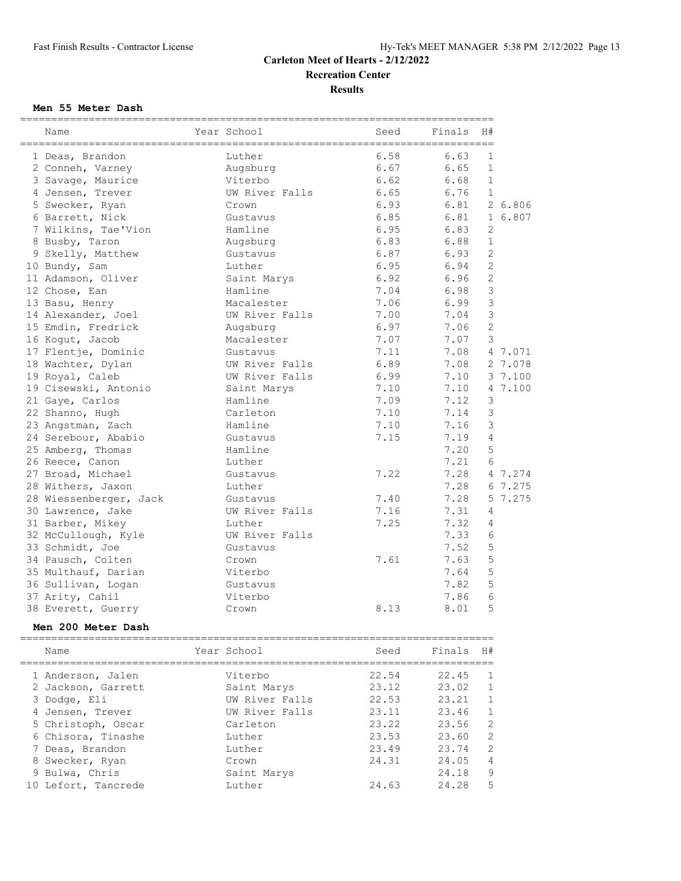**Results**

#### **Men 55 Meter Dash**

| ;============<br>Name  | Year School    | Seed | Finals | H#             |         |
|------------------------|----------------|------|--------|----------------|---------|
| 1 Deas, Brandon        | Luther         | 6.58 | 6.63   | 1              |         |
| 2 Conneh, Varney       | Augsburg       | 6.67 | 6.65   | $\mathbf{1}$   |         |
| 3 Savage, Maurice      | Viterbo        | 6.62 | 6.68   | $\mathbf{1}$   |         |
| 4 Jensen, Trever       | UW River Falls | 6.65 | 6.76   | $\mathbf{1}$   |         |
| 5 Swecker, Ryan        | Crown          | 6.93 | 6.81   |                | 2 6.806 |
| 6 Barrett, Nick        | Gustavus       | 6.85 | 6.81   |                | 1 6.807 |
| 7 Wilkins, Tae'Vion    | Hamline        | 6.95 | 6.83   | 2              |         |
| 8 Busby, Taron         | Augsburg       | 6.83 | 6.88   | $\mathbf{1}$   |         |
| 9 Skelly, Matthew      | Gustavus       | 6.87 | 6.93   | $\overline{c}$ |         |
| 10 Bundy, Sam          | Luther         | 6.95 | 6.94   | $\overline{c}$ |         |
| 11 Adamson, Oliver     | Saint Marys    | 6.92 | 6.96   | $\overline{c}$ |         |
| 12 Chose, Ean          | Hamline        | 7.04 | 6.98   | $\mathcal{S}$  |         |
| 13 Basu, Henry         | Macalester     | 7.06 | 6.99   | 3              |         |
| 14 Alexander, Joel     | UW River Falls | 7.00 | 7.04   | $\mathfrak{Z}$ |         |
| 15 Emdin, Fredrick     | Augsburg       | 6.97 | 7.06   | $\mathbf{2}$   |         |
| 16 Kogut, Jacob        | Macalester     | 7.07 | 7.07   | 3              |         |
| 17 Flentje, Dominic    | Gustavus       | 7.11 | 7.08   |                | 4 7.071 |
| 18 Wachter, Dylan      | UW River Falls | 6.89 | 7.08   |                | 2 7.078 |
| 19 Royal, Caleb        | UW River Falls | 6.99 | 7.10   |                | 3 7.100 |
| 19 Cisewski, Antonio   | Saint Marys    | 7.10 | 7.10   |                | 4 7.100 |
| 21 Gaye, Carlos        | Hamline        | 7.09 | 7.12   | 3              |         |
| 22 Shanno, Hugh        | Carleton       | 7.10 | 7.14   | $\mathcal{S}$  |         |
| 23 Angstman, Zach      | Hamline        | 7.10 | 7.16   | 3              |         |
| 24 Serebour, Ababio    | Gustavus       | 7.15 | 7.19   | 4              |         |
| 25 Amberg, Thomas      | Hamline        |      | 7.20   | 5              |         |
| 26 Reece, Canon        | Luther         |      | 7.21   | 6              |         |
| 27 Broad, Michael      | Gustavus       | 7.22 | 7.28   |                | 4 7.274 |
| 28 Withers, Jaxon      | Luther         |      | 7.28   |                | 6 7.275 |
| 28 Wiessenberger, Jack | Gustavus       | 7.40 | 7.28   |                | 5 7.275 |
| 30 Lawrence, Jake      | UW River Falls | 7.16 | 7.31   | 4              |         |
| 31 Barber, Mikey       | Luther         | 7.25 | 7.32   | 4              |         |
| 32 McCullough, Kyle    | UW River Falls |      | 7.33   | 6              |         |
| 33 Schmidt, Joe        | Gustavus       |      | 7.52   | 5              |         |
| 34 Pausch, Colten      | Crown          | 7.61 | 7.63   | 5              |         |
| 35 Multhauf, Darian    | Viterbo        |      | 7.64   | 5              |         |
| 36 Sullivan, Logan     | Gustavus       |      | 7.82   | 5              |         |
| 37 Arity, Cahil        | Viterbo        |      | 7.86   | 6              |         |
| 38 Everett, Guerry     | Crown          | 8.13 | 8.01   | 5              |         |

#### **Men 200 Meter Dash**

============================================================================ Name The Year School Seed Finals H# ============================================================================ 1 Anderson, Jalen Viterbo 22.54 22.45 1 2 Jackson, Garrett Saint Marys 23.12 23.02 1 3 Dodge, Eli UW River Falls 22.53 23.21 1 4 Jensen, Trever UW River Falls 23.11 23.46 1 5 Christoph, Oscar Carleton 23.22 23.56 2 6 Chisora, Tinashe Luther 23.53 23.60 2 7 Deas, Brandon Luther 23.49 23.74 2 8 Swecker, Ryan Crown 24.31 24.05 4 9 Bulwa, Chris Saint Marys 24.18 9 10 Lefort, Tancrede Luther 24.63 24.28 5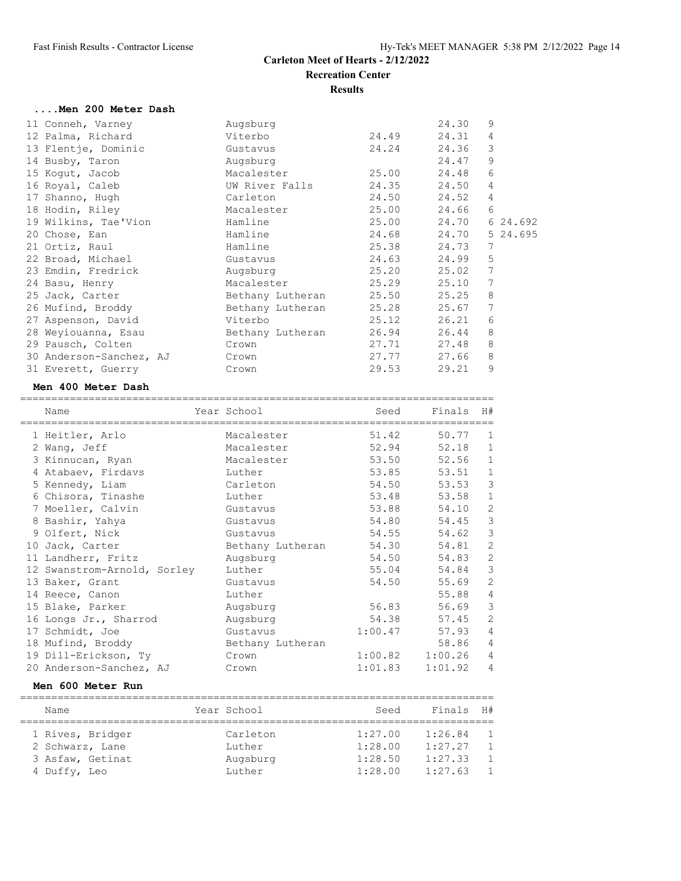=====================================

#### **....Men 200 Meter Dash**

| 11 Conneh, Varney       | Augsburg         |       | 24.30 | 9        |
|-------------------------|------------------|-------|-------|----------|
| 12 Palma, Richard       | Viterbo          | 24.49 | 24.31 | 4        |
| 13 Flentje, Dominic     | Gustavus         | 24.24 | 24.36 | 3        |
| 14 Busby, Taron         | Augsburg         |       | 24.47 | 9        |
| 15 Koqut, Jacob         | Macalester       | 25.00 | 24.48 | 6        |
| 16 Royal, Caleb         | UW River Falls   | 24.35 | 24.50 | 4        |
| 17 Shanno, Hugh         | Carleton         | 24.50 | 24.52 | 4        |
| 18 Hodin, Riley         | Macalester       | 25.00 | 24.66 | 6        |
| 19 Wilkins, Tae'Vion    | Hamline          | 25.00 | 24.70 | 6 24.692 |
|                         |                  | 24.68 | 24.70 | 5 24.695 |
| 20 Chose, Ean           | Hamline          |       |       |          |
| 21 Ortiz, Raul          | Hamline          | 25.38 | 24.73 | 7        |
| 22 Broad, Michael       | Gustavus         | 24.63 | 24.99 | 5        |
| 23 Emdin, Fredrick      | Augsburg         | 25.20 | 25.02 | 7        |
| 24 Basu, Henry          | Macalester       | 25.29 | 25.10 | 7        |
| 25 Jack, Carter         | Bethany Lutheran | 25.50 | 25.25 | 8        |
| 26 Mufind, Broddy       | Bethany Lutheran | 25.28 | 25.67 | 7        |
| 27 Aspenson, David      | Viterbo          | 25.12 | 26.21 | 6        |
| 28 Weyiouanna, Esau     | Bethany Lutheran | 26.94 | 26.44 | 8        |
| 29 Pausch, Colten       | Crown            | 27.71 | 27.48 | 8        |
| 30 Anderson-Sanchez, AJ | Crown            | 27.77 | 27.66 | 8        |
| 31 Everett, Guerry      | Crown            | 29.53 | 29.21 | 9        |
|                         |                  |       |       |          |

#### **Men 400 Meter Dash**

| Name                                    | Year School      | Seed    | Finals H# |                |
|-----------------------------------------|------------------|---------|-----------|----------------|
| ====================<br>1 Heitler, Arlo | Macalester       | 51.42   | 50.77     | 1              |
| 2 Wang, Jeff                            | Macalester       | 52.94   | 52.18     | $\mathbf{1}$   |
| 3 Kinnucan, Ryan                        | Macalester       | 53.50   | 52.56     | $\mathbf 1$    |
| 4 Atabaev, Firdavs                      | Luther           | 53.85   | 53.51     | $\mathbf{1}$   |
| 5 Kennedy, Liam                         | Carleton         | 54.50   | 53.53     | 3              |
| 6 Chisora, Tinashe                      | Luther           | 53.48   | 53.58     | $\mathbf{1}$   |
| 7 Moeller, Calvin                       | Gustavus         | 53.88   | 54.10     | $\overline{c}$ |
| 8 Bashir, Yahya                         | Gustavus         | 54.80   | 54.45     | 3              |
| 9 Olfert, Nick                          | Gustavus         | 54.55   | 54.62     | $\mathcal{E}$  |
| 10 Jack, Carter                         | Bethany Lutheran | 54.30   | 54.81     | $\mathbf{2}$   |
| 11 Landherr, Fritz                      | Augsburg         | 54.50   | 54.83     | $\overline{c}$ |
| 12 Swanstrom-Arnold, Sorley             | Luther           | 55.04   | 54.84     | 3              |
| 13 Baker, Grant                         | Gustavus         | 54.50   | 55.69     | $\mathbf{2}$   |
| 14 Reece, Canon                         | Luther           |         | 55.88     | $\sqrt{4}$     |
| 15 Blake, Parker                        | Augsburg         | 56.83   | 56.69     | 3              |
| 16 Longs Jr., Sharrod                   | Augsburg         | 54.38   | 57.45     | $\mathbf{2}$   |
| 17 Schmidt, Joe                         | Gustavus         | 1:00.47 | 57.93     | $\overline{4}$ |
| 18 Mufind, Broddy                       | Bethany Lutheran |         | 58.86     | 4              |
| 19 Dill-Erickson, Ty                    | Crown            | 1:00.82 | 1:00.26   | $\overline{4}$ |
| 20 Anderson-Sanchez, AJ                 | Crown            | 1:01.83 | 1:01.92   | $\overline{4}$ |

#### **Men 600 Meter Run**

| Name |                  | Year School | Seed    | Finals  | H#             |
|------|------------------|-------------|---------|---------|----------------|
|      |                  |             |         |         |                |
|      | 1 Rives, Bridger | Carleton    | 1:27.00 | 1:26.84 | $\overline{1}$ |
|      | 2 Schwarz, Lane  | Luther      | 1:28.00 | 1:27.27 | $\overline{1}$ |
|      | 3 Asfaw, Getinat | Augsburg    | 1:28.50 | 1:27.33 | $\overline{1}$ |
|      | 4 Duffy, Leo     | Luther      | 1:28.00 | 1:27.63 | $\mathbf{1}$   |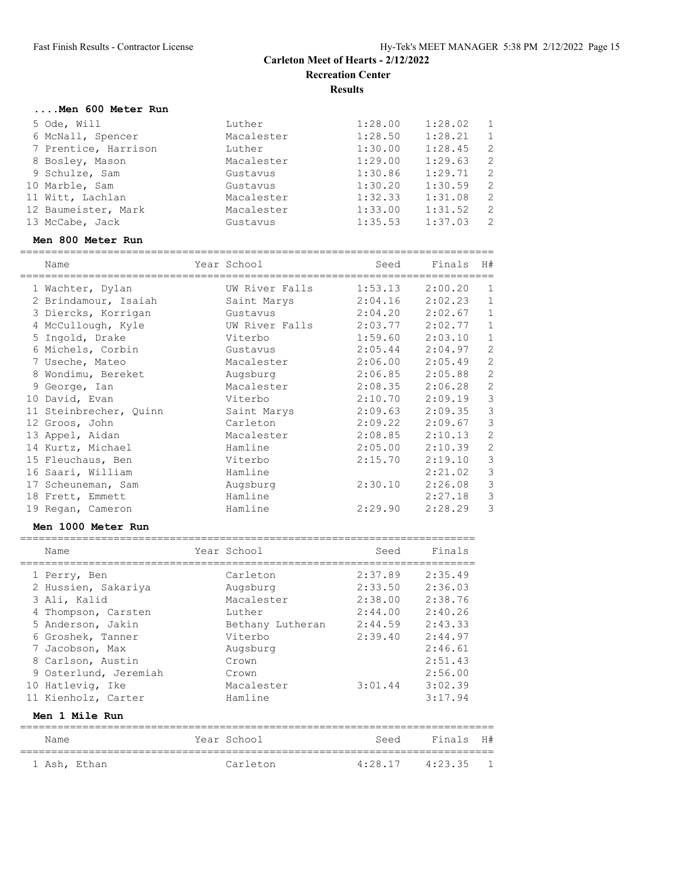#### **....Men 600 Meter Run**

| 5 Ode, Will          | Luther     | 1:28.00 | 1:28.02 | $\mathbf{1}$   |
|----------------------|------------|---------|---------|----------------|
| 6 McNall, Spencer    | Macalester | 1:28.50 | 1:28.21 | $\overline{1}$ |
| 7 Prentice, Harrison | Luther     | 1:30.00 | 1:28.45 | -2             |
| 8 Bosley, Mason      | Macalester | 1:29.00 | 1:29.63 | -2             |
| 9 Schulze, Sam       | Gustavus   | 1:30.86 | 1:29.71 | 2              |
| 10 Marble, Sam       | Gustavus   | 1:30.20 | 1:30.59 | 2              |
| 11 Witt, Lachlan     | Macalester | 1:32.33 | 1:31.08 | -2             |
| 12 Baumeister, Mark  | Macalester | 1:33.00 | 1:31.52 | 2              |
| 13 McCabe, Jack      | Gustavus   | 1:35.53 | 1:37.03 | 2              |

#### **Men 800 Meter Run**

| Name                   | Year School    | Seed    | Finals  | H#             |
|------------------------|----------------|---------|---------|----------------|
| 1 Wachter, Dylan       | UW River Falls | 1:53.13 | 2:00.20 | 1              |
| 2 Brindamour, Isaiah   | Saint Marys    | 2:04.16 | 2:02.23 | $\mathbf{1}$   |
| 3 Diercks, Korrigan    | Gustavus       | 2:04.20 | 2:02.67 | $\mathbf{1}$   |
| 4 McCullough, Kyle     | UW River Falls | 2:03.77 | 2:02.77 | $\mathbf{1}$   |
| 5 Ingold, Drake        | Viterbo        | 1:59.60 | 2:03.10 | $\mathbf{1}$   |
| 6 Michels, Corbin      | Gustavus       | 2:05.44 | 2:04.97 | $\mathbf{2}$   |
| 7 Useche, Mateo        | Macalester     | 2:06.00 | 2:05.49 | $\sqrt{2}$     |
| 8 Wondimu, Bereket     | Augsburg       | 2:06.85 | 2:05.88 | $\mathbf{2}$   |
| 9 George, Ian          | Macalester     | 2:08.35 | 2:06.28 | $\mathbf{2}$   |
| 10 David, Evan         | Viterbo        | 2:10.70 | 2:09.19 | $\mathcal{S}$  |
| 11 Steinbrecher, Quinn | Saint Marys    | 2:09.63 | 2:09.35 | $\mathfrak{Z}$ |
| 12 Groos, John         | Carleton       | 2:09.22 | 2:09.67 | $\mathsf 3$    |
| 13 Appel, Aidan        | Macalester     | 2:08.85 | 2:10.13 | $\overline{2}$ |
| 14 Kurtz, Michael      | Hamline        | 2:05.00 | 2:10.39 | $\mathbf{2}$   |
| 15 Fleuchaus, Ben      | Viterbo        | 2:15.70 | 2:19.10 | $\mathcal{E}$  |
| 16 Saari, William      | Hamline        |         | 2:21.02 | $\mathsf 3$    |
| 17 Scheuneman, Sam     | Augsburg       | 2:30.10 | 2:26.08 | $\mathcal{S}$  |
| 18 Frett, Emmett       | Hamline        |         | 2:27.18 | $\mathcal{S}$  |
| 19 Regan, Cameron      | Hamline        | 2:29.90 | 2:28.29 | 3              |

#### **Men 1000 Meter Run**

| Name                  | Year School      | Seed                | Finals  |                |
|-----------------------|------------------|---------------------|---------|----------------|
|                       |                  |                     |         |                |
| 1 Perry, Ben          | Carleton         | 2:37.89             | 2:35.49 |                |
| 2 Hussien, Sakariya   | Augsburg         | 2:33.50             | 2:36.03 |                |
| 3 Ali, Kalid          | Macalester       | 2:38.00             | 2:38.76 |                |
| 4 Thompson, Carsten   | Luther           | 2:44.00             | 2:40.26 |                |
| 5 Anderson, Jakin     | Bethany Lutheran | 2:44.59             | 2:43.33 |                |
| 6 Groshek, Tanner     | Viterbo          | 2:39.40             | 2:44.97 |                |
| 7 Jacobson, Max       | Augsburg         |                     | 2:46.61 |                |
| 8 Carlson, Austin     | Crown            |                     | 2:51.43 |                |
| 9 Osterlund, Jeremiah | Crown            |                     | 2:56.00 |                |
| 10 Hatlevig, Ike      | Macalester       | $3:01.44$ $3:02.39$ |         |                |
| 11 Kienholz, Carter   | Hamline          |                     | 3:17.94 |                |
| Men 1 Mile Run        |                  |                     |         |                |
|                       |                  |                     |         |                |
| Name                  | Year School      | Seed                | Finals  | H#             |
| 1 Ash, Ethan          | Carleton         | $4:28.17$ $4:23.35$ |         | $\overline{1}$ |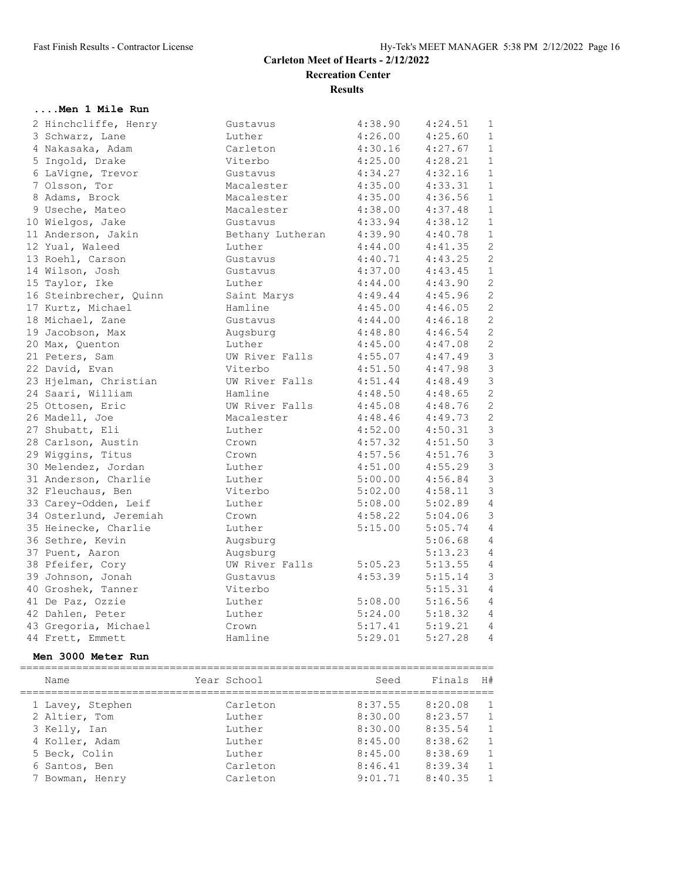**Results**

## **....Men 1 Mile Run**

| 2 Hinchcliffe, Henry   | Gustavus         | 4:38.90                | 4:24.51 | $\mathbf{1}$   |
|------------------------|------------------|------------------------|---------|----------------|
| 3 Schwarz, Lane        | Luther           | 4:26.00                | 4:25.60 | $\mathbf{1}$   |
| 4 Nakasaka, Adam       | Carleton         | 4:30.16                | 4:27.67 | $\mathbf{1}$   |
| 5 Ingold, Drake        | Viterbo          | 4:25.00                | 4:28.21 | $\mathbf{1}$   |
| 6 LaVigne, Trevor      | Gustavus         | 4:34.27                | 4:32.16 | $\mathbf{1}$   |
| 7 Olsson, Tor          | Macalester       | 4:35.00                | 4:33.31 | $\mathbf{1}$   |
| 8 Adams, Brock         | Macalester       | $4:35.00$<br>$4:38.00$ | 4:36.56 | $\mathbf{1}$   |
| 9 Useche, Mateo        | Macalester       |                        | 4:37.48 | $\mathbf{1}$   |
| 10 Wielgos, Jake       | Gustavus         | 4:33.94                | 4:38.12 | $\mathbf{1}$   |
| 11 Anderson, Jakin     | Bethany Lutheran | 4:39.90                | 4:40.78 | $\mathbf{1}$   |
| 12 Yual, Waleed        | Luther           | 4:44.00                | 4:41.35 | $\overline{c}$ |
| 13 Roehl, Carson       | Gustavus         | 4:40.71                | 4:43.25 | 2              |
| 14 Wilson, Josh        | Gustavus         | 4:37.00                | 4:43.45 | $\mathbf{1}$   |
| 15 Taylor, Ike         | Luther           | $4:44.00$ $4:43.90$    |         | $\overline{c}$ |
| 16 Steinbrecher, Quinn | Saint Marys      | $4:49.44$<br>$4:45.00$ | 4:45.96 | 2              |
| 17 Kurtz, Michael      | Hamline          |                        | 4:46.05 | 2              |
| 18 Michael, Zane       | Gustavus         | 4:44.00                | 4:46.18 | $\overline{c}$ |
| 19 Jacobson, Max       | Augsburg         | 4:48.80                | 4:46.54 | $\overline{c}$ |
| 20 Max, Quenton        | Luther           | $4:45.00$<br>$4:55.07$ | 4:47.08 | $\overline{c}$ |
| 21 Peters, Sam         | UW River Falls   |                        | 4:47.49 | $\mathcal{S}$  |
| 22 David, Evan         | Viterbo          | 4:51.50                | 4:47.98 | $\mathcal{E}$  |
| 23 Hjelman, Christian  | UW River Falls   | 4:51.44                | 4:48.49 | $\mathfrak{Z}$ |
| 24 Saari, William      | Hamline          | $4:48.50$<br>$4:45.08$ | 4:48.65 | $\overline{c}$ |
| 25 Ottosen, Eric       | UW River Falls   |                        | 4:48.76 | $\overline{c}$ |
| 26 Madell, Joe         | Macalester       | 4:48.46                | 4:49.73 | $\overline{c}$ |
| 27 Shubatt, Eli        | Luther           | 4:52.00                | 4:50.31 | $\mathfrak{Z}$ |
| 28 Carlson, Austin     | Crown            | 4:57.32                | 4:51.50 | $\mathfrak{Z}$ |
| 29 Wiggins, Titus      | Crown            | 4:57.56                | 4:51.76 | $\mathfrak{Z}$ |
| 30 Melendez, Jordan    | Luther           | 4:51.00                | 4:55.29 | $\mathfrak{Z}$ |
| 31 Anderson, Charlie   | Luther           | 5:00.00                | 4:56.84 | $\mathcal{S}$  |
| 32 Fleuchaus, Ben      | Viterbo          | $5:02.00$<br>$5:08.00$ | 4:58.11 | $\mathcal{S}$  |
| 33 Carey-Odden, Leif   | Luther           |                        | 5:02.89 | $\overline{4}$ |
| 34 Osterlund, Jeremiah | Crown            | 4:58.22                | 5:04.06 | $\mathsf 3$    |
| 35 Heinecke, Charlie   | Luther           | 5:15.00                | 5:05.74 | $\overline{4}$ |
| 36 Sethre, Kevin       | Augsburg         |                        | 5:06.68 | $\overline{4}$ |
| 37 Puent, Aaron        | Augsburg         |                        | 5:13.23 | $\overline{4}$ |
| 38 Pfeifer, Cory       | UW River Falls   | 5:05.23                | 5:13.55 | $\overline{4}$ |
| 39 Johnson, Jonah      | Gustavus         | 4:53.39                | 5:15.14 | $\mathfrak{Z}$ |
| 40 Groshek, Tanner     | Viterbo          |                        | 5:15.31 | $\overline{4}$ |
| 41 De Paz, Ozzie       | Luther           | 5:08.00                | 5:16.56 | $\overline{4}$ |
| 42 Dahlen, Peter       | Luther           | 5:24.00                | 5:18.32 | 4              |
| 43 Gregoria, Michael   | Crown            | 5:17.41                | 5:19.21 | $\overline{4}$ |
| 44 Frett, Emmett       | Hamline          | 5:29.01                | 5:27.28 | $\overline{4}$ |

#### **Men 3000 Meter Run**

| Name             | Year School | Seed    | Finals  | H#             |
|------------------|-------------|---------|---------|----------------|
| 1 Lavey, Stephen | Carleton    | 8:37.55 | 8:20.08 | $\overline{1}$ |
| 2 Altier, Tom    | Luther      | 8:30.00 | 8:23.57 | $\overline{1}$ |
| 3 Kelly, Ian     | Luther      | 8:30.00 | 8:35.54 | $\mathbf{1}$   |
| 4 Koller, Adam   | Luther      | 8:45.00 | 8:38.62 | $\overline{1}$ |
| 5 Beck, Colin    | Luther      | 8:45.00 | 8:38.69 | $\mathbf{1}$   |
| 6 Santos, Ben    | Carleton    | 8:46.41 | 8:39.34 | 1              |
| 7 Bowman, Henry  | Carleton    | 9:01.71 | 8:40.35 | $\overline{1}$ |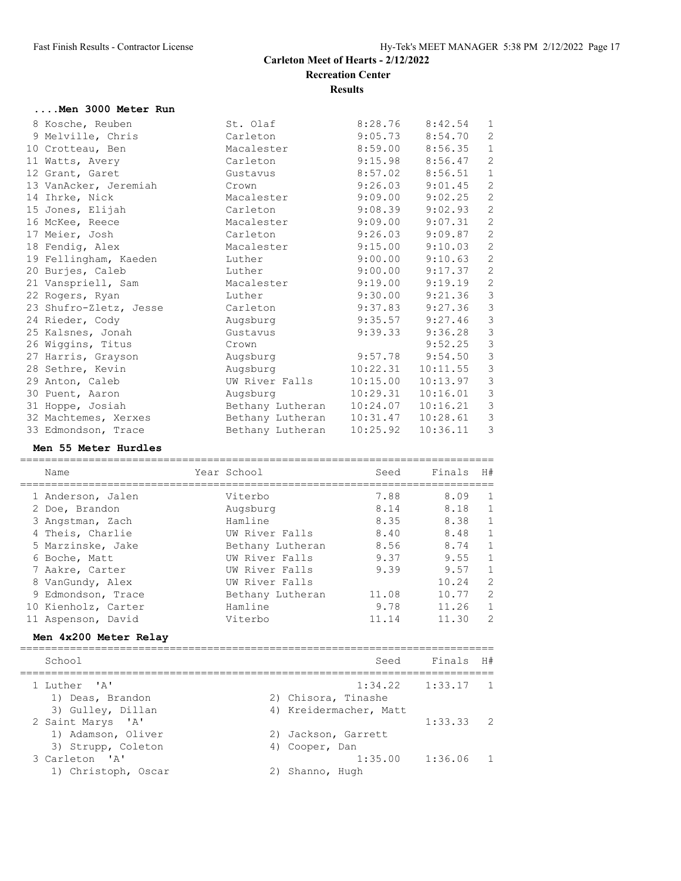## **....Men 3000 Meter Run**

| 8 Kosche, Reuben       | St. Olaf         | 8:28.76  | 8:42.54  | $\mathbf{1}$   |
|------------------------|------------------|----------|----------|----------------|
| 9 Melville, Chris      | Carleton         | 9:05.73  | 8:54.70  | 2              |
| 10 Crotteau, Ben       | Macalester       | 8:59.00  | 8:56.35  | $\mathbf{1}$   |
| 11 Watts, Avery        | Carleton         | 9:15.98  | 8:56.47  | $\overline{c}$ |
| 12 Grant, Garet        | Gustavus         | 8:57.02  | 8:56.51  | $\mathbf{1}$   |
| 13 VanAcker, Jeremiah  | Crown            | 9:26.03  | 9:01.45  | $\mathbf{2}$   |
| 14 Ihrke, Nick         | Macalester       | 9:09.00  | 9:02.25  | 2              |
| 15 Jones, Elijah       | Carleton         | 9:08.39  | 9:02.93  | $\mathbf{2}$   |
| 16 McKee, Reece        | Macalester       | 9:09.00  | 9:07.31  | $\mathbf{2}$   |
| 17 Meier, Josh         | Carleton         | 9:26.03  | 9:09.87  | $\mathbf{2}$   |
|                        |                  | 9:15.00  | 9:10.03  | $\mathbf{2}$   |
| 18 Fendig, Alex        | Macalester       |          |          |                |
| 19 Fellingham, Kaeden  | Luther           | 9:00.00  | 9:10.63  | 2              |
| 20 Burjes, Caleb       | Luther           | 9:00.00  | 9:17.37  | $\sqrt{2}$     |
| 21 Vanspriell, Sam     | Macalester       | 9:19.00  | 9:19.19  | $\sqrt{2}$     |
| 22 Rogers, Ryan        | Luther           | 9:30.00  | 9:21.36  | $\mathcal{S}$  |
| 23 Shufro-Zletz, Jesse | Carleton         | 9:37.83  | 9:27.36  | $\mathcal{S}$  |
| 24 Rieder, Cody        | Augsburg         | 9:35.57  | 9:27.46  | $\mathfrak{Z}$ |
| 25 Kalsnes, Jonah      | Gustavus         | 9:39.33  | 9:36.28  | $\mathcal{S}$  |
| 26 Wiggins, Titus      | Crown            |          | 9:52.25  | $\mathcal{S}$  |
| 27 Harris, Grayson     | Augsburg         | 9:57.78  | 9:54.50  | $\mathcal{S}$  |
| 28 Sethre, Kevin       | Augsburg         | 10:22.31 | 10:11.55 | $\mathcal{S}$  |
| 29 Anton, Caleb        | UW River Falls   | 10:15.00 | 10:13.97 | $\mathfrak{Z}$ |
| 30 Puent, Aaron        | Augsburg         | 10:29.31 | 10:16.01 | $\mathcal{S}$  |
| 31 Hoppe, Josiah       | Bethany Lutheran | 10:24.07 | 10:16.21 | $\mathcal{S}$  |
| 32 Machtemes, Xerxes   | Bethany Lutheran | 10:31.47 | 10:28.61 | $\mathcal{S}$  |
| 33 Edmondson, Trace    | Bethany Lutheran | 10:25.92 | 10:36.11 | 3              |
|                        |                  |          |          |                |

#### **Men 55 Meter Hurdles**

|  | Name                  | Year School         | Seed                   | Finals  | H#             |
|--|-----------------------|---------------------|------------------------|---------|----------------|
|  | 1 Anderson, Jalen     | Viterbo             | 7.88                   | 8.09    | $\mathbf{1}$   |
|  | 2 Doe, Brandon        | Augsburg            | 8.14                   | 8.18    | $1\,$          |
|  | 3 Angstman, Zach      | Hamline             | 8.35                   | 8.38    | $\mathbf 1$    |
|  | 4 Theis, Charlie      | UW River Falls      | 8,40                   | 8.48    | $\mathbf 1$    |
|  | 5 Marzinske, Jake     | Bethany Lutheran    | 8.56                   | 8.74    | $1\,$          |
|  | 6 Boche, Matt         | UW River Falls      | 9.37                   | 9.55    | $\mathbf 1$    |
|  | 7 Aakre, Carter       | UW River Falls      | 9.39                   | 9.57    | $\mathbf{1}$   |
|  | 8 VanGundy, Alex      | UW River Falls      |                        | 10.24   | $\overline{c}$ |
|  | 9 Edmondson, Trace    | Bethany Lutheran    | 11.08                  | 10.77   | $\overline{c}$ |
|  | 10 Kienholz, Carter   | Hamline             | 9.78                   | 11.26   | $\mathbf{1}$   |
|  | 11 Aspenson, David    | Viterbo             | 11.14                  | 11.30   | $\overline{2}$ |
|  | Men 4x200 Meter Relay |                     |                        |         |                |
|  | School                |                     | Seed                   | Finals  | H#             |
|  | 1 Luther 'A'          |                     | 1:34.22                | 1:33.17 | 1              |
|  | 1) Deas, Brandon      | 2) Chisora, Tinashe |                        |         |                |
|  | 3) Gulley, Dillan     |                     | 4) Kreidermacher, Matt |         |                |
|  | 2 Saint Marys 'A'     |                     |                        | 1:33.33 | 2              |
|  | 1) Adamson, Oliver    | 2) Jackson, Garrett |                        |         |                |
|  | 3) Strupp, Coleton    | 4) Cooper, Dan      |                        |         |                |
|  | 3 Carleton 'A'        |                     | 1:35.00                | 1:36.06 | 1              |
|  | 1) Christoph, Oscar   | 2) Shanno, Hugh     |                        |         |                |
|  |                       |                     |                        |         |                |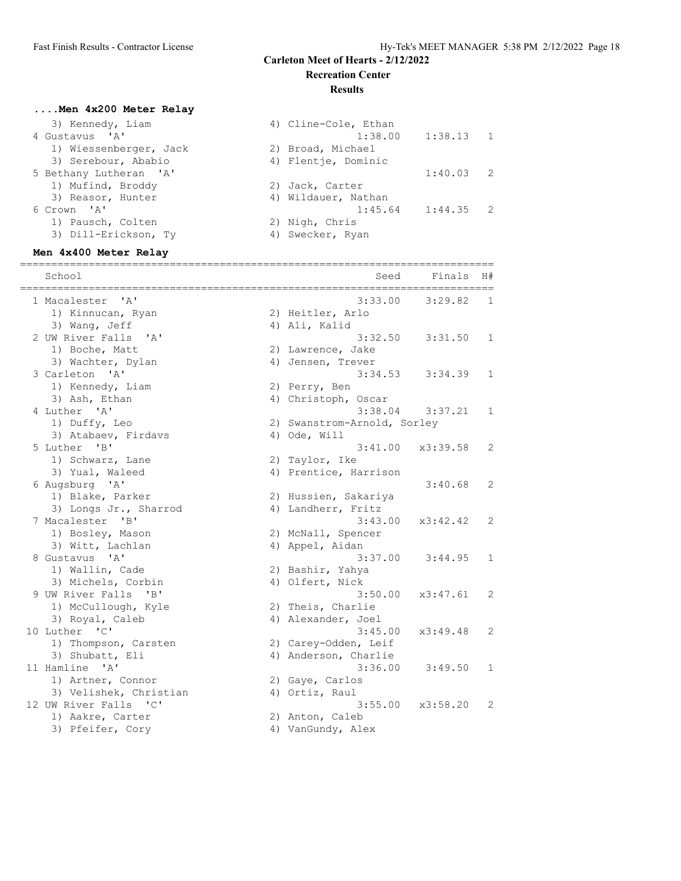#### **Results**

## **....Men 4x200 Meter Relay**

| 3) Kennedy, Liam       | 4) Cline-Cole, Ethan |                       |  |
|------------------------|----------------------|-----------------------|--|
| 4 Gustavus 'A'         |                      | $1:38.00$ $1:38.13$ 1 |  |
| 1) Wiessenberger, Jack | 2) Broad, Michael    |                       |  |
| 3) Serebour, Ababio    | 4) Flentje, Dominic  |                       |  |
| 5 Bethany Lutheran 'A' |                      | $1:40.03$ 2           |  |
| 1) Mufind, Broddy      | 2) Jack, Carter      |                       |  |
| 3) Reasor, Hunter      | 4) Wildauer, Nathan  |                       |  |
| 6 Crown 'A'            |                      | $1:45.64$ $1:44.35$ 2 |  |
| 1) Pausch, Colten      | 2) Nigh, Chris       |                       |  |
| 3) Dill-Erickson, Ty   | 4) Swecker, Ryan     |                       |  |
|                        |                      |                       |  |

# **Men 4x400 Meter Relay**

| School                                        | Seed                        | Finals  | H#           |
|-----------------------------------------------|-----------------------------|---------|--------------|
| 1 Macalester<br>'A'                           | 3:33.00                     | 3:29.82 | 1            |
| 1) Kinnucan, Ryan                             | 2) Heitler, Arlo            |         |              |
| 3) Wang, Jeff                                 | 4) Ali, Kalid               |         |              |
| 2 UW River Falls<br>$^{\prime}$ A $^{\prime}$ | 3:32.50                     | 3:31.50 | 1            |
| 1) Boche, Matt                                | 2) Lawrence, Jake           |         |              |
| 3) Wachter, Dylan                             | 4) Jensen, Trever           |         |              |
| 3 Carleton 'A'                                | 3:34.53                     | 3:34.39 | 1            |
| 1) Kennedy, Liam                              | 2) Perry, Ben               |         |              |
| 3) Ash, Ethan                                 | 4) Christoph, Oscar         |         |              |
| 4 Luther 'A'                                  | 3:38.04                     | 3:37.21 | 1            |
| 1) Duffy, Leo                                 | 2) Swanstrom-Arnold, Sorley |         |              |
| 3) Atabaev, Firdavs                           | 4) Ode, Will                |         |              |
| 5 Luther 'B'                                  | 3:41.00<br>x3:39.58         |         | 2            |
| 1) Schwarz, Lane                              | 2) Taylor, Ike              |         |              |
| 3) Yual, Waleed                               | 4) Prentice, Harrison       |         |              |
| 6 Augsburg 'A'                                |                             | 3:40.68 | 2            |
| 1) Blake, Parker                              | 2) Hussien, Sakariya        |         |              |
| 3) Longs Jr., Sharrod                         | 4) Landherr, Fritz          |         |              |
| 7 Macalester 'B'                              | 3:43.00<br>x3:42.42         |         | 2            |
| 1) Bosley, Mason                              | 2) McNall, Spencer          |         |              |
| 3) Witt, Lachlan                              | 4) Appel, Aidan             |         |              |
| 8 Gustavus 'A'                                | 3:37.00                     | 3:44.95 | $\mathbf{1}$ |
| 1) Wallin, Cade                               | 2) Bashir, Yahya            |         |              |
| 3) Michels, Corbin                            | 4) Olfert, Nick             |         |              |
| 9 UW River Falls 'B'                          | 3:50.00<br>x3:47.61         |         | 2            |
| 1) McCullough, Kyle                           | 2) Theis, Charlie           |         |              |
| 3) Royal, Caleb                               | 4) Alexander, Joel          |         |              |
| 10 Luther 'C'                                 | 3:45.00<br>x3:49.48         |         | 2            |
| 1) Thompson, Carsten                          | 2) Carey-Odden, Leif        |         |              |
| 3) Shubatt, Eli                               | 4) Anderson, Charlie        |         |              |
| 11 Hamline 'A'                                | 3:36.00                     | 3:49.50 | $\mathbf{1}$ |
| 1) Artner, Connor                             | 2) Gaye, Carlos             |         |              |
| 3) Velishek, Christian                        | 4) Ortiz, Raul              |         |              |
| 12 UW River Falls 'C'                         | 3:55.00<br>x3:58.20         |         | 2            |
| 1) Aakre, Carter                              | 2) Anton, Caleb             |         |              |
| 3) Pfeifer, Cory                              | 4) VanGundy, Alex           |         |              |
|                                               |                             |         |              |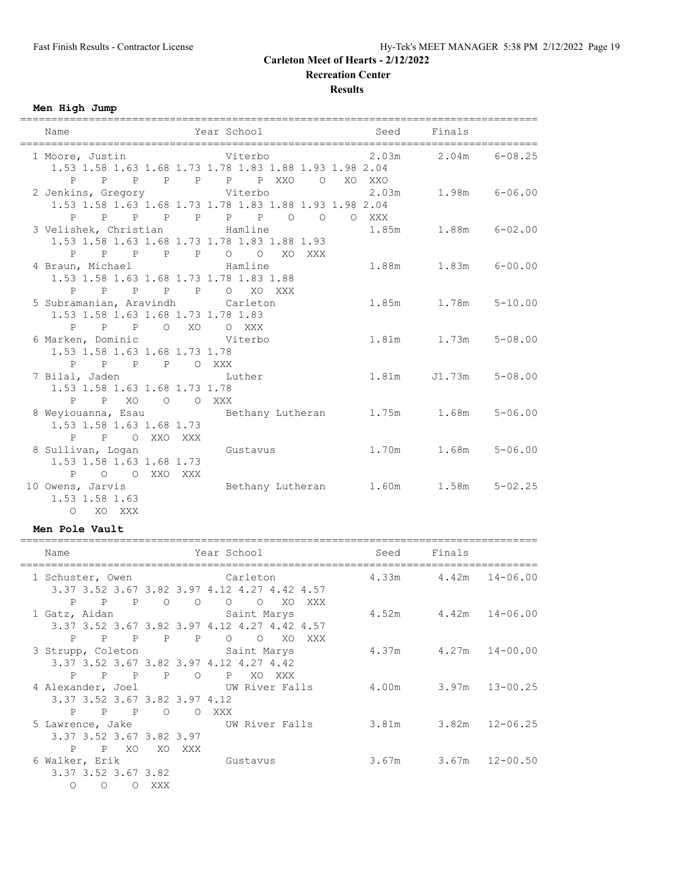**Recreation Center**

**Results**

**Men High Jump**

| Name                                                                                                                              | Year School Seed           | Finals                  |  |
|-----------------------------------------------------------------------------------------------------------------------------------|----------------------------|-------------------------|--|
| 1 Moore, Justin $U(1 + 2)$ Viterbo $1.03$ m $2.03$ m $2.04$ m $6-08.25$<br>1.53 1.58 1.63 1.68 1.73 1.78 1.83 1.88 1.93 1.98 2.04 | P P P P P P P XXO O XO XXO |                         |  |
| 2 Jenkins, Gregory 6-06.00 Viterbo 2.03m 1.98m 6-06.00<br>1.53 1.58 1.63 1.68 1.73 1.78 1.83 1.88 1.93 1.98 2.04                  | P P P P P P P P O O O XXX  |                         |  |
| 3 Velishek, Christian and Hamline<br>1.53 1.58 1.63 1.68 1.73 1.78 1.83 1.88 1.93<br>P P P P P O O XO XXX                         |                            | 1.85m 1.88m 6-02.00     |  |
| 4 Braun, Michael and Hamline<br>1.53 1.58 1.63 1.68 1.73 1.78 1.83 1.88<br>P P P P P O XO XXX                                     |                            | 1.88m   1.83m   6-00.00 |  |
| 5 Subramanian, Aravindh Carleton<br>1.53 1.58 1.63 1.68 1.73 1.78 1.83<br>P P P O XO O XXX                                        |                            |                         |  |
| 6 Marken, Dominic Viterbo<br>1.53 1.58 1.63 1.68 1.73 1.78<br>P P P P O XXX                                                       |                            | 1.81m 1.73m 5-08.00     |  |
| 7 Bilal, Jaden buther<br>1.53 1.58 1.63 1.68 1.73 1.78<br>P P XO O O XXX                                                          |                            | 1.81m J1.73m 5-08.00    |  |
| 8 Weyiouanna, Esau Bethany Lutheran 1.75m 1.68m 5-06.00<br>1.53 1.58 1.63 1.68 1.73<br>P P O XXO XXX                              |                            |                         |  |
| 8 Sullivan, Logan Gustavus<br>1.53 1.58 1.63 1.68 1.73<br>P O O XXO XXX                                                           |                            | 1.70m 1.68m 5-06.00     |  |
| 10 Owens, Jarvis 60 Cethany Lutheran 1.60m 1.58m 5-02.25<br>1.53 1.58 1.63<br>O XO XXX                                            |                            |                         |  |

#### **Men Pole Vault**

| Name                          |           | Year School                                                               |                                     | Seed | Finals                     |  |
|-------------------------------|-----------|---------------------------------------------------------------------------|-------------------------------------|------|----------------------------|--|
| 1 Schuster, Owen              |           | Carleton                                                                  |                                     |      | $4.33m$ $4.42m$ $14-06.00$ |  |
|                               |           | 3.37 3.52 3.67 3.82 3.97 4.12 4.27 4.42 4.57                              |                                     |      |                            |  |
|                               |           | P P P O O O O                                                             | XO.<br>XXX                          |      |                            |  |
|                               |           | 1 Gatz, Aidan Saint Marys<br>3.37 3.52 3.67 3.82 3.97 4.12 4.27 4.42 4.57 |                                     |      | $4.52m$ $4.42m$ $14-06.00$ |  |
|                               | P P P P P | $\circ$ $\circ$                                                           | XO.<br>XXX                          |      |                            |  |
|                               |           | 3 Strupp, Coleton Saint Marys                                             |                                     |      | $4.37m$ $4.27m$ $14-00.00$ |  |
|                               |           | 3.37 3.52 3.67 3.82 3.97 4.12 4.27 4.42                                   |                                     |      |                            |  |
| P<br>$\mathbb{P}$             |           | P P O P XO XXX                                                            |                                     |      |                            |  |
|                               |           | 4 Alexander, Joel WW River Falls                                          |                                     |      | 4.00m 3.97m 13-00.25       |  |
| 3.37 3.52 3.67 3.82 3.97 4.12 |           |                                                                           |                                     |      |                            |  |
|                               | P P P O   | O XXX                                                                     |                                     |      |                            |  |
|                               |           |                                                                           | 5 Lawrence, Jake Man UW River Falls |      | 3.81m 3.82m 12-06.25       |  |
| 3.37 3.52 3.67 3.82 3.97      |           |                                                                           |                                     |      |                            |  |
| P P XO                        |           | XO XXX                                                                    |                                     |      |                            |  |
| 6 Walker, Erik                |           | <b>Gustavus</b>                                                           |                                     |      | $3.67m$ $3.67m$ $12-00.50$ |  |
| 3.37 3.52 3.67 3.82           |           |                                                                           |                                     |      |                            |  |
| $\circ$<br>$\Omega$           | O XXX     |                                                                           |                                     |      |                            |  |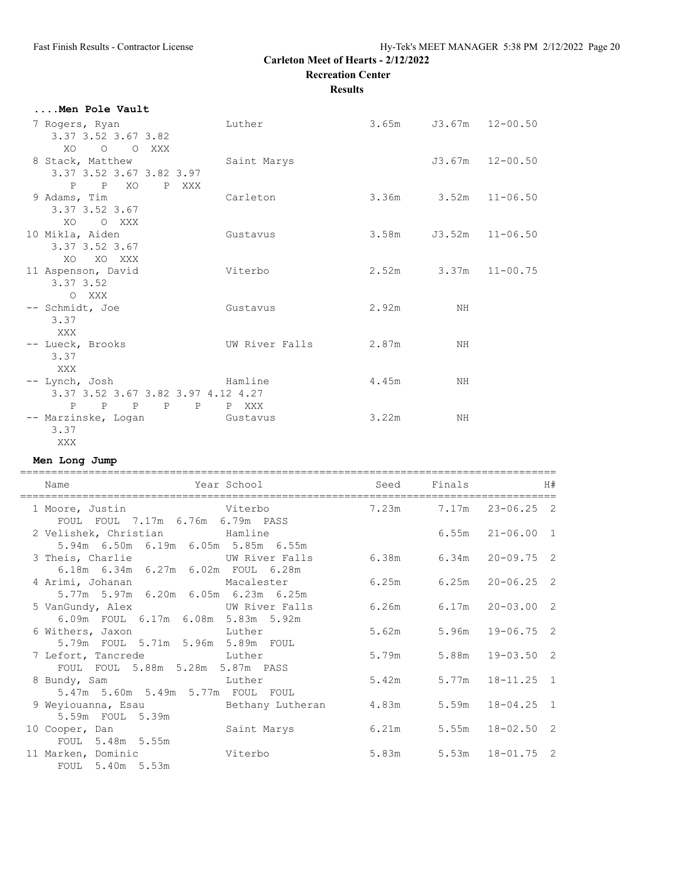**Recreation Center**

**Results**

| Men Pole Vault                                                         |                |                             |    |                   |
|------------------------------------------------------------------------|----------------|-----------------------------|----|-------------------|
| 7 Rogers, Ryan<br>3.37 3.52 3.67 3.82                                  | Luther         | $3.65m$ $J3.67m$ $12-00.50$ |    |                   |
| XO O O XXX<br>8 Stack, Matthew                                         | Saint Marys    |                             |    | $J3.67m$ 12-00.50 |
| 3.37 3.52 3.67 3.82 3.97<br>P P XO<br>P XXX                            |                |                             |    |                   |
| 9 Adams, Tim<br>3.37 3.52 3.67                                         | Carleton       | $3.36m$ $3.52m$ $11-06.50$  |    |                   |
| XO OXXX<br>10 Mikla, Aiden<br>3.37 3.52 3.67                           | Gustavus       | $3.58m$ $J3.52m$ $11-06.50$ |    |                   |
| XO XO XXX<br>11 Aspenson, David                                        | Viterbo        | $2.52m$ $3.37m$ $11-00.75$  |    |                   |
| $3.37 \, 3.52$<br>O XXX                                                |                |                             |    |                   |
| -- Schmidt, Joe<br>3.37<br>XXX                                         | Gustavus       | 2.92m                       | NH |                   |
| -- Lueck, Brooks<br>3.37                                               | UW River Falls | 2.87m                       | ΝH |                   |
| XXX<br>-- Lynch, Josh<br>Mamline<br>3.37 3.52 3.67 3.82 3.97 4.12 4.27 |                | 4.45m                       | ΝH |                   |
| P P P P P P XXX<br>-- Marzinske, Logan Gustavus<br>3.37                |                | 3.22m                       | ΝH |                   |
| XXX                                                                    |                |                             |    |                   |

#### **Men Long Jump**

| Name                                                                             | Year School |       | Seed Finals |                              | H# |
|----------------------------------------------------------------------------------|-------------|-------|-------------|------------------------------|----|
| Viterbo<br>1 Moore, Justin<br>FOUL FOUL 7.17m 6.76m 6.79m PASS                   |             |       |             | 7.23m 7.17m 23-06.25 2       |    |
| 2 Velishek, Christian and Hamline<br>5.94m 6.50m 6.19m 6.05m 5.85m 6.55m         |             |       |             | $6.55m$ $21-06.00$ 1         |    |
| 3 Theis, Charlie <b>W</b> UW River Falls<br>6.18m 6.34m 6.27m 6.02m FOUL 6.28m   |             |       |             | $6.38m$ $6.34m$ $20-09.75$ 2 |    |
| 4 Arimi, Johanan Macalester<br>5.77m 5.97m 6.20m 6.05m 6.23m 6.25m               |             | 6.25m |             | $6.25m$ $20-06.25$ 2         |    |
| 5 VanGundy, Alex UW River Falls<br>6.09m FOUL 6.17m 6.08m 5.83m 5.92m            |             | 6.26m |             | $6.17m$ $20-03.00$ 2         |    |
| 6 Withers, Jaxon buther<br>5.79m FOUL 5.71m 5.96m 5.89m FOUL                     |             | 5.62m |             | $5.96m$ $19-06.75$ 2         |    |
| 7 Lefort, Tancrede Luther<br>FOUL FOUL 5.88m 5.28m 5.87m PASS                    |             | 5.79m |             | $5.88m$ $19-03.50$ 2         |    |
| and the state of the Luther<br>8 Bundy, Sam<br>5.47m 5.60m 5.49m 5.77m FOUL FOUL |             | 5.42m |             | $5.77m$ $18-11.25$ 1         |    |
| 9 Weyiouanna, Esau and Bethany Lutheran<br>5.59m FOUL 5.39m                      |             | 4.83m |             | $5.59m$ $18-04.25$ 1         |    |
| 10 Cooper, Dan<br>FOUL 5.48m 5.55m                                               | Saint Marys | 6.21m |             | $5.55m$ $18-02.50$ 2         |    |
| 11 Marken, Dominic Viterbo<br>FOUL 5.40m 5.53m                                   |             | 5.83m |             | $5.53m$ $18-01.75$ 2         |    |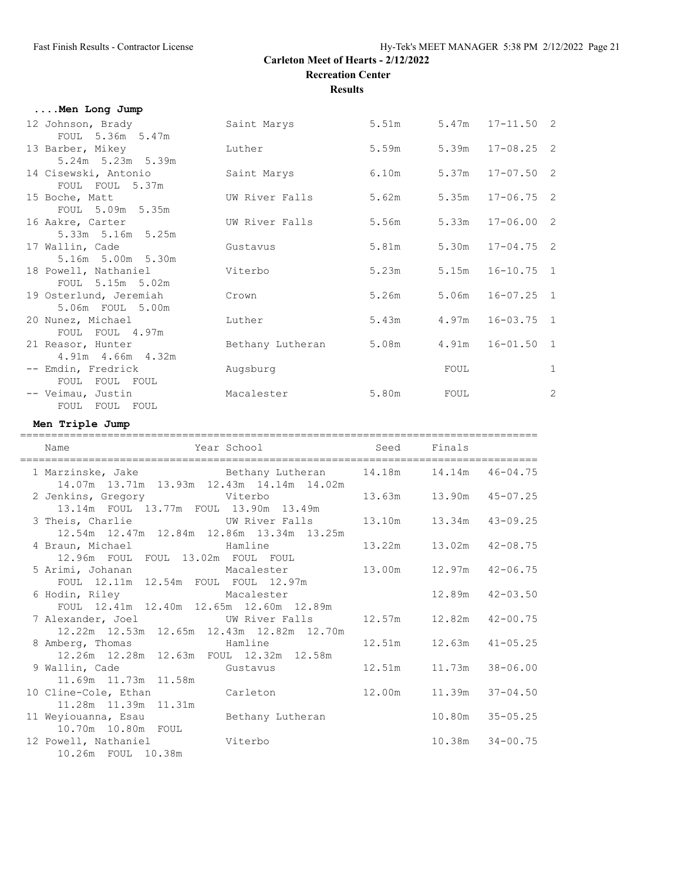**Results**

#### **....Men Long Jump**

| 12 Johnson, Brady      | Saint Marys      | 5.51m |      | $5.47m$ $17-11.50$ 2 |   |
|------------------------|------------------|-------|------|----------------------|---|
| FOUL 5.36m 5.47m       |                  |       |      |                      |   |
| 13 Barber, Mikey       | Luther           | 5.59m |      | $5.39m$ $17-08.25$ 2 |   |
| 5.24m 5.23m 5.39m      |                  |       |      |                      |   |
| 14 Cisewski, Antonio   | Saint Marys      | 6.10m |      | $5.37m$ $17-07.50$ 2 |   |
| FOUL FOUL 5.37m        |                  |       |      |                      |   |
| 15 Boche, Matt         | UW River Falls   | 5.62m |      | $5.35m$ $17-06.75$ 2 |   |
| FOUL 5.09m 5.35m       |                  |       |      |                      |   |
| 16 Aakre, Carter       | UW River Falls   | 5.56m |      | $5.33m$ $17-06.00$ 2 |   |
| 5.33m 5.16m 5.25m      |                  |       |      |                      |   |
| 17 Wallin, Cade        | Gustavus         | 5.81m |      | $5.30m$ $17-04.75$ 2 |   |
| 5.16m 5.00m 5.30m      |                  |       |      |                      |   |
| 18 Powell, Nathaniel   | Viterbo          | 5.23m |      | $5.15m$ $16-10.75$ 1 |   |
| FOUL 5.15m 5.02m       |                  |       |      |                      |   |
|                        |                  |       |      |                      |   |
| 19 Osterlund, Jeremiah | Crown            | 5.26m |      | $5.06m$ $16-07.25$ 1 |   |
| 5.06m FOUL 5.00m       |                  |       |      |                      |   |
| 20 Nunez, Michael      | Luther           | 5.43m |      | $4.97m$ $16-03.75$ 1 |   |
| FOUL FOUL 4.97m        |                  |       |      |                      |   |
| 21 Reasor, Hunter      | Bethany Lutheran | 5.08m |      | 4.91m  16-01.50  1   |   |
| 4.91m 4.66m 4.32m      |                  |       |      |                      |   |
| -- Emdin, Fredrick     | Augsburg         |       | FOUL |                      | 1 |
| FOUL FOUL FOUL         |                  |       |      |                      |   |
| -- Veimau, Justin      | Macalester       | 5.80m | FOUL |                      | 2 |
| FOUL FOUL FOUL         |                  |       |      |                      |   |

#### **Men Triple Jump**

=================================================================================== Name Year School Seed Finals =================================================================================== 1 Marzinske, Jake Bethany Lutheran 14.18m 14.14m 46-04.75 14.07m 13.71m 13.93m 12.43m 14.14m 14.02m 2 Jenkins, Gregory Viterbo 13.63m 13.90m 45-07.25 13.14m FOUL 13.77m FOUL 13.90m 13.49m 3 Theis, Charlie UW River Falls 13.10m 13.34m 43-09.25 12.54m 12.47m 12.84m 12.86m 13.34m 13.25m 4 Braun, Michael Hamline 13.22m 13.02m 42-08.75 12.96m FOUL FOUL 13.02m FOUL FOUL 5 Arimi, Johanan Macalester 13.00m 12.97m 42-06.75 FOUL 12.11m 12.54m FOUL FOUL 12.97m 6 Hodin, Riley Macalester 12.89m 42-03.50 FOUL 12.41m 12.40m 12.65m 12.60m 12.89m 7 Alexander, Joel UW River Falls 12.57m 12.82m 42-00.75 12.22m 12.53m 12.65m 12.43m 12.82m 12.70m 8 Amberg, Thomas Hamline 12.51m 12.63m 41-05.25 12.26m 12.28m 12.63m FOUL 12.32m 12.58m 9 Wallin, Cade Gustavus 12.51m 11.73m 38-06.00 11.69m 11.73m 11.58m 10 Cline-Cole, Ethan Carleton 12.00m 11.39m 37-04.50 11.28m 11.39m 11.31m 11 Weyiouanna, Esau Bethany Lutheran 10.80m 35-05.25 10.70m 10.80m FOUL 12 Powell, Nathaniel Viterbo 10.38m 34-00.75 10.26m FOUL 10.38m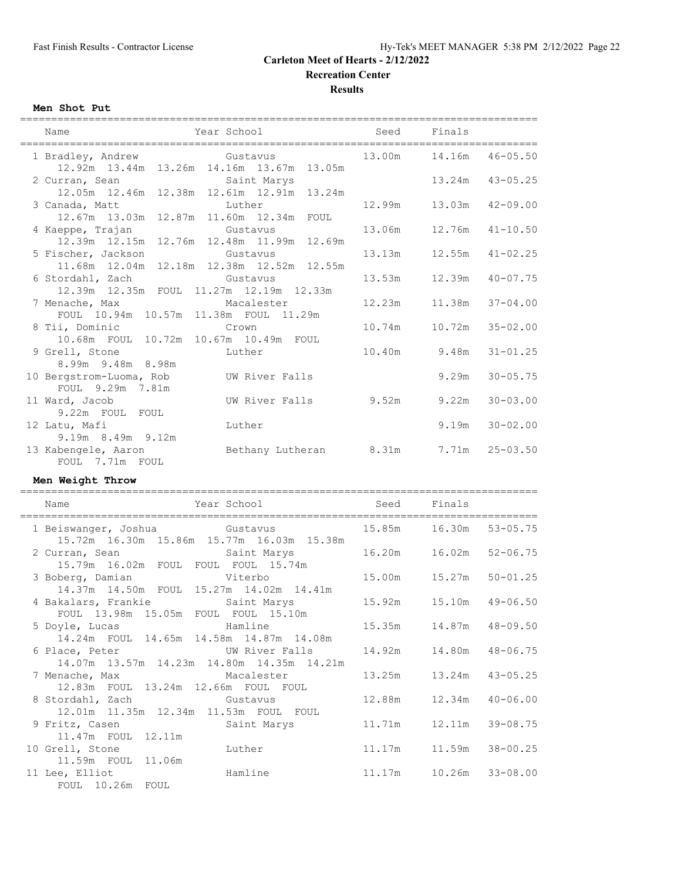**Recreation Center**

**Results**

#### **Men Shot Put**

|                                                                     | ===============                                               | ================================= |                                             |                              |
|---------------------------------------------------------------------|---------------------------------------------------------------|-----------------------------------|---------------------------------------------|------------------------------|
| Name                                                                | Year School                                                   | Seed                              | Finals                                      |                              |
| 1 Bradley, Andrew                                                   | Gustavus                                                      | 13.00m                            | 14.16m                                      | $46 - 05.50$                 |
| 2 Curran, Sean                                                      | 12.92m  13.44m  13.26m  14.16m  13.67m  13.05m<br>Saint Marys |                                   | 13.24m                                      | $43 - 05.25$                 |
| 12.05m  12.46m<br>3 Canada, Matt                                    | 12.38m  12.61m  12.91m  13.24m<br>Luther                      | 12.99m                            | 13.03m                                      | $42 - 09.00$                 |
| 12.67m  13.03m<br>4 Kaeppe, Trajan                                  | 12.87m  11.60m  12.34m  FOUL<br>Gustavus                      | 13.06m                            | 12.76m                                      | $41 - 10.50$                 |
| 12.39m  12.15m<br>5 Fischer, Jackson                                | 12.76m  12.48m  11.99m  12.69m<br>Gustavus                    | 13.13m                            | 12.55m                                      | $41 - 02.25$                 |
| 11.68m  12.04m<br>6 Stordahl, Zach                                  | 12.18m  12.38m  12.52m  12.55m<br>Gustavus                    | 13.53m                            | 12.39m                                      | $40 - 07.75$                 |
| 12.39m 12.35m FOUL 11.27m 12.19m 12.33m<br>7 Menache, Max           | Macalester                                                    | 12.23m                            | 11.38m                                      | $37 - 04.00$                 |
| FOUL 10.94m 10.57m 11.38m FOUL 11.29m<br>8 Tii, Dominic             | Crown                                                         | 10.74m                            | 10.72m                                      | $35 - 02.00$                 |
| $10.68m$ FOUL<br>9 Grell, Stone                                     | 10.72m 10.67m 10.49m FOUL<br>Luther                           | 10.40m                            | 9.48m                                       | $31 - 01.25$                 |
| 8.99m 9.48m 8.98m                                                   |                                                               |                                   |                                             |                              |
| 10 Bergstrom-Luoma, Rob<br>FOUL 9.29m 7.81m                         | UW River Falls                                                |                                   | 9.29m                                       | $30 - 05.75$                 |
| 11 Ward, Jacob<br>9.22m FOUL FOUL                                   | UW River Falls                                                | 9.52m                             | 9.22m                                       | $30 - 03.00$                 |
| 12 Latu, Mafi<br>9.19m 8.49m 9.12m                                  | Luther                                                        |                                   | 9.19m                                       | $30 - 02.00$                 |
| 13 Kabengele, Aaron                                                 | Bethany Lutheran 8.31m                                        |                                   | 7.71m                                       | $25 - 03.50$                 |
| FOUL 7.71m FOUL                                                     |                                                               |                                   |                                             |                              |
| Men Weight Throw                                                    |                                                               |                                   |                                             |                              |
| Name                                                                | Year School                                                   | Seed                              | Finals                                      |                              |
| 1 Beiswanger, Joshua                                                | Gustavus                                                      | 15.85m                            | _________________________________<br>16.30m | $53 - 05.75$                 |
| 2 Curran, Sean                                                      | 15.72m  16.30m  15.86m  15.77m  16.03m  15.38m<br>Saint Marys | 16.20m                            | 16.02m                                      | $52 - 06.75$                 |
| 15.79m 16.02m FOUL FOUL FOUL 15.74m<br>3 Boberg, Damian             | Viterbo                                                       | 15.00m                            | 15.27m                                      | $50 - 01.25$                 |
| 14.37m  14.50m  FOUL  15.27m  14.02m  14.41m<br>4 Bakalars, Frankie | Saint Marys                                                   | 15.92m                            | 15.10m                                      | $49 - 06.50$                 |
| FOUL 13.98m 15.05m FOUL FOUL 15.10m<br>5 Doyle, Lucas               | Hamline                                                       | 15.35m                            | 14.87m                                      | $48 - 09.50$                 |
| 14.24m FOUL<br>6 Place, Peter                                       | 14.65m 14.58m 14.87m 14.08m<br>UW River Falls                 | 14.92m                            | 14.80m                                      |                              |
| 14.07m<br>7 Menache, Max                                            | 13.57m  14.23m  14.80m  14.35m  14.21m<br>Macalester          | 13.25m                            | 13.24m                                      | $48 - 06.75$<br>$43 - 05.25$ |
| 12.83m FOUL 13.24m 12.66m FOUL FOUL<br>8 Stordahl, Zach             | Gustavus                                                      | 12.88m                            | 12.34m                                      | $40 - 06.00$                 |
| 12.01m  11.35m  12.34m  11.53m  FOUL  FOUL<br>9 Fritz, Casen        | Saint Marys                                                   | 11.71m                            | 12.11m                                      | $39 - 08.75$                 |
| 11.47m FOUL<br>12.11m<br>10 Grell, Stone                            | Luther                                                        | 11.17m                            | 11.59m                                      | $38 - 00.25$                 |
| 11.59m FOUL<br>11.06m<br>11 Lee, Elliot<br>FOUL 10.26m<br>FOUL      | Hamline                                                       | 11.17m                            | 10.26m                                      | $33 - 08.00$                 |